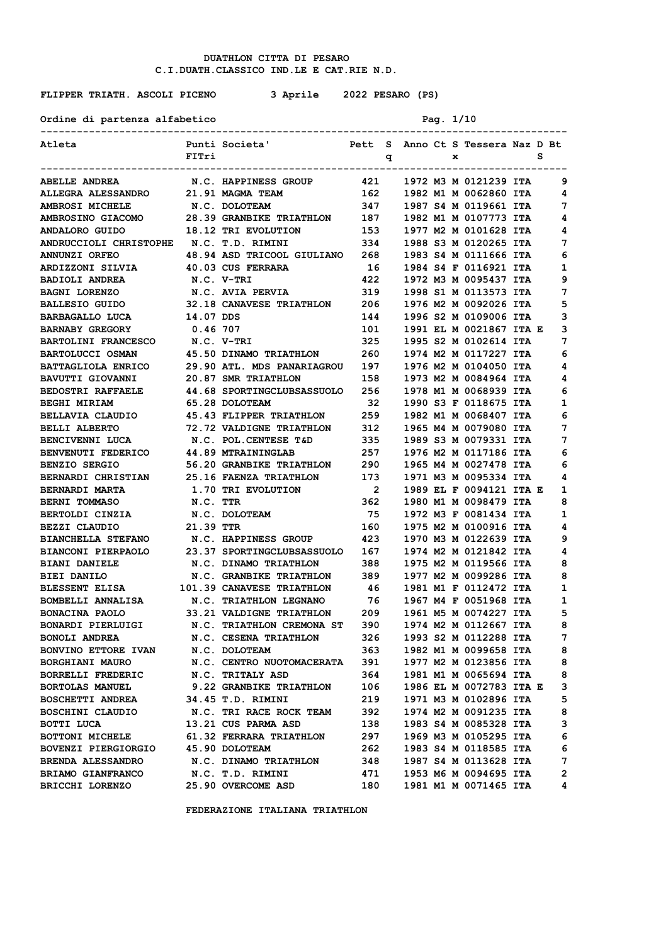**FLIPPER TRIATH. ASCOLI PICENO 3 Aprile 2022 PESARO (PS)**

Ordine di partenza alfabetico Pag. 1/10

| Atleta                                                                                 | FITri     |                                                           |                          | q |  | x |                         | s |   |
|----------------------------------------------------------------------------------------|-----------|-----------------------------------------------------------|--------------------------|---|--|---|-------------------------|---|---|
| <b>ABELLE ANDREA</b>                                                                   |           | N.C. HAPPINESS GROUP 421 1972 M3 M 0121239 ITA            |                          |   |  |   |                         |   | 9 |
| ALLEGRA ALESSANDRO 21.91 MAGMA TEAM                                                    |           |                                                           | 162                      |   |  |   | 1982 M1 M 0062860 ITA   |   | 4 |
| <b>AMBROSI MICHELE</b>                                                                 |           | N.C. DOLOTEAM                                             | 347                      |   |  |   | 1987 S4 M 0119661 ITA   |   | 7 |
|                                                                                        |           |                                                           |                          |   |  |   |                         |   | 4 |
| AMBROSINO GIACOMO 28.39 GRANBIKE TRIATHLON 187 1982 M1 M 0107773 ITA<br>ANDALORO GUIDO |           | <b>18.12 TRI EVOLUTION</b>                                |                          |   |  |   | 1977 M2 M 0101628 ITA   |   | 4 |
| ANDRUCCIOLI CHRISTOPHE N.C. T.D. RIMINI                                                |           |                                                           | 153<br>334               |   |  |   | 1988 S3 M 0120265 ITA   |   | 7 |
| ANNUNZI ORFEO                                                                          |           | 48.94 ASD TRICOOL GIULIANO 268                            |                          |   |  |   | 1983 S4 M 0111666 ITA   |   | 6 |
| ARDIZZONI SILVIA                                                                       |           | 40.03 CUS FERRARA                                         | 16                       |   |  |   | 1984 S4 F 0116921 ITA   |   | 1 |
| <b>BADIOLI ANDREA</b>                                                                  |           | N.C. V-TRI                                                | 422                      |   |  |   | 1972 M3 M 0095437 ITA   |   | 9 |
| <b>BAGNI LORENZO</b>                                                                   |           | N.C. AVIA PERVIA                                          | 319                      |   |  |   | 1998 S1 M 0113573 ITA   |   | 7 |
| <b>BALLESIO GUIDO</b>                                                                  |           | 32.18 CANAVESE TRIATHLON 206                              |                          |   |  |   | 1976 M2 M 0092026 ITA   |   | 5 |
| <b>BARBAGALLO LUCA</b>                                                                 | 14.07 DDS |                                                           | 144                      |   |  |   | 1996 S2 M 0109006 ITA   |   | 3 |
| <b>BARNABY GREGORY</b>                                                                 | 0.46 707  |                                                           | 101                      |   |  |   | 1991 EL M 0021867 ITA E |   | 3 |
| BARTOLINI FRANCESCO N.C. V-TRI                                                         |           |                                                           | 325                      |   |  |   | 1995 S2 M 0102614 ITA   |   | 7 |
| <b>BARTOLUCCI OSMAN</b>                                                                |           | 45.50 DINAMO TRIATHLON                                    | 260                      |   |  |   | 1974 M2 M 0117227 ITA   |   | 6 |
| BATTAGLIOLA ENRICO 29.90 ATL. MDS PANARIAGROU 197                                      |           |                                                           |                          |   |  |   | 1976 M2 M 0104050 ITA   |   | 4 |
| <b>BAVUTTI GIOVANNI</b>                                                                |           | 20.87 SMR TRIATHLON                                       | 158                      |   |  |   | 1973 M2 M 0084964 ITA   |   | 4 |
| <b>BEDOSTRI RAFFAELE</b>                                                               |           | 44.68 SPORTINGCLUBSASSUOLO 256                            |                          |   |  |   | 1978 M1 M 0068939 ITA   |   | 6 |
| <b>BEGHI MIRIAM</b>                                                                    |           | 65.28 DOLOTEAM                                            | 32                       |   |  |   | 1990 S3 F 0118675 ITA   |   | 1 |
| BELLAVIA CLAUDIO                                                                       |           | 45.43 FLIPPER TRIATHLON 259                               |                          |   |  |   | 1982 M1 M 0068407 ITA   |   | 6 |
| <b>BELLI ALBERTO</b>                                                                   |           | 72.72 VALDIGNE TRIATHLON 312                              |                          |   |  |   | 1965 M4 M 0079080 ITA   |   | 7 |
| BENCIVENNI LUCA N.C. POL.CENTESE T&D                                                   |           |                                                           | 335                      |   |  |   | 1989 S3 M 0079331 ITA   |   | 7 |
| <b>BENVENUTI FEDERICO</b>                                                              |           | 44.89 MTRAININGLAB                                        | 257                      |   |  |   | 1976 M2 M 0117186 ITA   |   | 6 |
| <b>BENZIO SERGIO</b>                                                                   |           | 56.20 GRANBIKE TRIATHLON                                  | 290                      |   |  |   | 1965 M4 M 0027478 ITA   |   | 6 |
| <b>BERNARDI CHRISTIAN</b>                                                              |           | <b>25.16 FAENZA TRIATHLON</b>                             | 173                      |   |  |   | 1971 M3 M 0095334 ITA   |   | 4 |
| <b>BERNARDI MARTA</b>                                                                  |           | <b>1.70 TRI EVOLUTION</b>                                 | $\overline{\phantom{a}}$ |   |  |   | 1989 EL F 0094121 ITA E |   | 1 |
| <b>BERNI TOMMASO</b>                                                                   | N.C. TTR  |                                                           | 362                      |   |  |   | 1980 M1 M 0098479 ITA   |   | 8 |
| BERTOLDI CINZIA N.C. DOLOTEAM                                                          |           |                                                           | 75                       |   |  |   | 1972 M3 F 0081434 ITA   |   | 1 |
| BEZZI CLAUDIO                                                                          | 21.39 TTR |                                                           | 160                      |   |  |   | 1975 M2 M 0100916 ITA   |   | 4 |
| <b>BIANCHELLA STEFANO</b>                                                              |           | N.C. HAPPINESS GROUP                                      | 423                      |   |  |   | 1970 M3 M 0122639 ITA   |   | 9 |
| <b>BIANCONI PIERPAOLO</b>                                                              |           | 23.37 SPORTINGCLUBSASSUOLO 167                            |                          |   |  |   | 1974 M2 M 0121842 ITA   |   | 4 |
| <b>BIANI DANIELE</b>                                                                   |           | N.C. DINAMO TRIATHLON                                     | 388                      |   |  |   | 1975 M2 M 0119566 ITA   |   | 8 |
| <b>BIEI DANILO</b>                                                                     |           | N.C. GRANBIKE TRIATHLON 389                               |                          |   |  |   | 1977 M2 M 0099286 ITA   |   | 8 |
| BLESSENT ELISA 101.39 CANAVESE TRIATHLON 46                                            |           |                                                           |                          |   |  |   | 1981 M1 F 0112472 ITA   |   | 1 |
| <b>BOMBELLI ANNALISA</b>                                                               |           |                                                           |                          |   |  |   | 1967 M4 F 0051968 ITA   |   | 1 |
| <b>BONACINA PAOLO</b>                                                                  |           | N.C. TRIATHLON LEGNANO 76<br>33.21 VALDIGNE TRIATHLON 209 |                          |   |  |   | 1961 M5 M 0074227 ITA   |   | 5 |
| <b>BONARDI PIERLUIGI</b>                                                               |           | N.C. TRIATHLON CREMONA ST                                 | 390                      |   |  |   | 1974 M2 M 0112667 ITA   |   | 8 |
| <b>BONOLI ANDREA</b>                                                                   |           | N.C. CESENA TRIATHLON                                     | 326                      |   |  |   | 1993 S2 M 0112288 ITA   |   | 7 |
| <b>BONVINO ETTORE IVAN</b>                                                             |           | N.C. DOLOTEAM                                             | 363                      |   |  |   | 1982 M1 M 0099658 ITA   |   | 8 |
| <b>BORGHIANI MAURO</b>                                                                 |           | N.C. CENTRO NUOTOMACERATA                                 | 391                      |   |  |   | 1977 M2 M 0123856 ITA   |   | 8 |
| <b>BORRELLI FREDERIC</b>                                                               |           | N.C. TRITALY ASD                                          | 364                      |   |  |   | 1981 M1 M 0065694 ITA   |   | 8 |
| <b>BORTOLAS MANUEL</b>                                                                 |           | 9.22 GRANBIKE TRIATHLON                                   | 106                      |   |  |   | 1986 EL M 0072783 ITA E |   | з |
| <b>BOSCHETTI ANDREA</b>                                                                |           | 34.45 T.D. RIMINI                                         | 219                      |   |  |   | 1971 M3 M 0102896 ITA   |   | 5 |
| BOSCHINI CLAUDIO                                                                       |           | N.C. TRI RACE ROCK TEAM                                   | 392                      |   |  |   | 1974 M2 M 0091235 ITA   |   | 8 |
| BOTTI LUCA                                                                             |           | 13.21 CUS PARMA ASD                                       | 138                      |   |  |   | 1983 S4 M 0085328 ITA   |   | 3 |
| BOTTONI MICHELE                                                                        |           | 61.32 FERRARA TRIATHLON                                   | 297                      |   |  |   | 1969 M3 M 0105295 ITA   |   | 6 |
| BOVENZI PIERGIORGIO                                                                    |           | 45.90 DOLOTEAM                                            | 262                      |   |  |   | 1983 S4 M 0118585 ITA   |   | 6 |
| <b>BRENDA ALESSANDRO</b>                                                               |           | N.C. DINAMO TRIATHLON                                     | 348                      |   |  |   | 1987 S4 M 0113628 ITA   |   | 7 |
| BRIAMO GIANFRANCO                                                                      |           | N.C. T.D. RIMINI                                          | 471                      |   |  |   | 1953 M6 M 0094695 ITA   |   | 2 |
| BRICCHI LORENZO                                                                        |           | 25.90 OVERCOME ASD                                        | 180                      |   |  |   | 1981 M1 M 0071465 ITA   |   | 4 |
|                                                                                        |           |                                                           |                          |   |  |   |                         |   |   |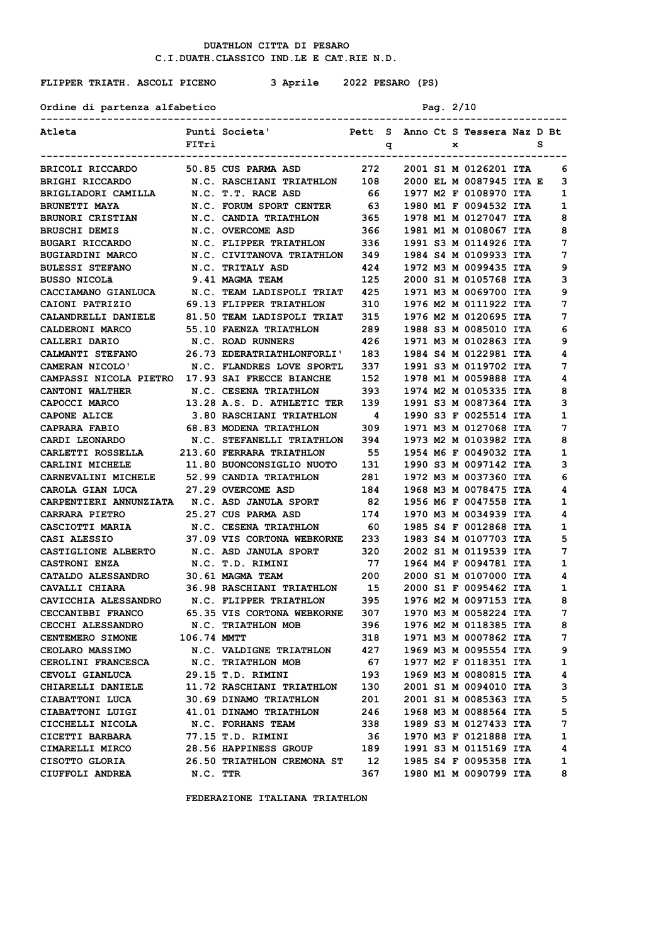Ordine di partenza alfabetico Pag. 2/10

# **FLIPPER TRIATH. ASCOLI PICENO 3 Aprile 2022 PESARO (PS)**

| Atleta                                                               |             | Punti Societa'                                       |                        |   |  | Pett S Anno Ct S Tessera Naz D Bt                                                      |   |   |
|----------------------------------------------------------------------|-------------|------------------------------------------------------|------------------------|---|--|----------------------------------------------------------------------------------------|---|---|
|                                                                      | FITri       |                                                      |                        | q |  | $\mathbf{x}$ and $\mathbf{x}$                                                          | s |   |
|                                                                      |             |                                                      |                        |   |  |                                                                                        |   |   |
| BRICOLI RICCARDO 50.85 CUS PARMA ASD 272 2001 S1 M 0126201 ITA       |             |                                                      |                        |   |  |                                                                                        |   | 6 |
| BRIGHI RICCARDO                                                      |             | N.C. RASCHIANI TRIATHLON 108 2000 EL M 0087945 ITA E |                        |   |  |                                                                                        |   | 3 |
| BRIGLIADORI CAMILLA                                                  |             | N.C. T.T. RACE ASD                                   |                        |   |  |                                                                                        |   | 1 |
| <b>BRUNETTI MAYA</b>                                                 |             | N.C. FORUM SPORT CENTER                              | 63                     |   |  | 66      1977 M2 F 0108970 ITA<br>63     1980 M1 F 0094532 ITA<br>1980 M1 F 0094532 ITA |   | 1 |
| <b>BRUNORI CRISTIAN</b>                                              |             | N.C. CANDIA TRIATHLON                                | 365                    |   |  | 1978 M1 M 0127047 ITA                                                                  |   | 8 |
| <b>BRUSCHI DEMIS</b>                                                 |             | N.C. OVERCOME ASD                                    | 366                    |   |  | 1981 M1 M 0108067 ITA                                                                  |   | 8 |
| <b>BUGARI RICCARDO</b>                                               |             | N.C. FLIPPER TRIATHLON 336 1991 S3 M 0114926 ITA     |                        |   |  |                                                                                        |   | 7 |
| <b>BUGIARDINI MARCO</b>                                              |             | N.C. CIVITANOVA TRIATHLON 349 1984 S4 M 0109933 ITA  |                        |   |  |                                                                                        |   | 7 |
| <b>BULESSI STEFANO</b>                                               |             | N.C. TRITALY ASD                                     |                        |   |  | 1972 M3 M 0099435 ITA                                                                  |   | 9 |
| BUSSO NICOLã                                                         |             | 9.41 MAGMA TEAM                                      | 424<br>125             |   |  | 2000 S1 M 0105768 ITA                                                                  |   | з |
| CACCIAMANO GIANLUCA                                                  |             | N.C. TEAM LADISPOLI TRIAT 425                        |                        |   |  | 1971 M3 M 0069700 ITA                                                                  |   | 9 |
| <b>CAIONI PATRIZIO</b>                                               |             | 69.13 FLIPPER TRIATHLON 310                          |                        |   |  | 1976 M2 M 0111922 ITA                                                                  |   | 7 |
| CALANDRELLI DANIELE 81.50 TEAM LADISPOLI TRIAT 315                   |             |                                                      |                        |   |  | 1976 M2 M 0120695 ITA                                                                  |   | 7 |
| <b>CALDERONI MARCO</b>                                               |             | <b>55.10 FAENZA TRIATHLON</b>                        | 289                    |   |  | 1988 S3 M 0085010 ITA                                                                  |   | 6 |
| CALLERI DARIO                                                        |             | N.C. ROAD RUNNERS                                    | 426                    |   |  | 1971 M3 M 0102863 ITA                                                                  |   | 9 |
| <b>CALMANTI STEFANO</b>                                              |             | 26.73 EDERATRIATHLONFORLI' 183                       |                        |   |  | 1984 S4 M 0122981 ITA                                                                  |   | 4 |
| CAMERAN NICOLO'                                                      |             | N.C. FLANDRES LOVE SPORTL                            | 337                    |   |  | 1991 S3 M 0119702 ITA                                                                  |   | 7 |
| CAMPASSI NICOLA PIETRO 17.93 SAI FRECCE BIANCHE                      |             |                                                      | 152                    |   |  | 1978 M1 M 0059888 ITA                                                                  |   | 4 |
| CANTONI WALTHER                                                      |             | N.C. CESENA TRIATHLON                                | 393                    |   |  | 1974 M2 M 0105335 ITA                                                                  |   | 8 |
| <b>CAPOCCI MARCO</b>                                                 |             | 13.28 A.S. D. ATHLETIC TER                           | 139                    |   |  | 1991 S3 M 0087364 ITA                                                                  |   | 3 |
| <b>CAPONE ALICE</b>                                                  |             | 3.80 RASCHIANI TRIATHLON                             |                        |   |  | 1990 S3 F 0025514 ITA                                                                  |   | 1 |
| <b>CAPRARA FABIO</b>                                                 |             | 68.83 MODENA TRIATHLON                               | $\frac{4}{309}$<br>309 |   |  | 1971 M3 M 0127068 ITA                                                                  |   | 7 |
| CARDI LEONARDO                                                       |             | N.C. STEFANELLI TRIATHLON 394                        |                        |   |  | 1973 M2 M 0103982 ITA                                                                  |   | 8 |
| CARLETTI ROSSELLA 213.60 FERRARA TRIATHLON 55 1954 M6 F 0049032 ITA  |             |                                                      |                        |   |  |                                                                                        |   | 1 |
| CARLINI MICHELE                                                      |             | 11.80 BUONCONSIGLIO NUOTO 131                        |                        |   |  | 1990 S3 M 0097142 ITA                                                                  |   | 3 |
| CARNEVALINI MICHELE 52.99 CANDIA TRIATHLON 281 1972 M3 M 0037360 ITA |             |                                                      |                        |   |  |                                                                                        |   | 6 |
| CAROLA GIAN LUCA 27.29 OVERCOME ASD                                  |             |                                                      |                        |   |  | 184 1968 M3 M 0078475 ITA                                                              |   | 4 |
| CARPENTIERI ANNUNZIATA N.C. ASD JANULA SPORT                         |             |                                                      | 82                     |   |  | 1956 M6 F 0047558 ITA                                                                  |   | 1 |
| <b>CARRARA PIETRO</b>                                                |             | 25.27 CUS PARMA ASD                                  | 174                    |   |  | 1970 M3 M 0034939 ITA                                                                  |   | 4 |
| CASCIOTTI MARIA                                                      |             | N.C. CESENA TRIATHLON 60                             |                        |   |  | 1985 S4 F 0012868 ITA                                                                  |   | 1 |
| CASI ALESSIO                                                         |             | 37.09 VIS CORTONA WEBKORNE 233                       |                        |   |  | 1983 S4 M 0107703 ITA                                                                  |   | 5 |
| CASTIGLIONE ALBERTO N.C. ASD JANULA SPORT 320                        |             |                                                      |                        |   |  | 2002 S1 M 0119539 ITA                                                                  |   | 7 |
| <b>CASTRONI ENZA</b>                                                 |             | N.C. T.D. RIMINI                                     |                        |   |  |                                                                                        |   | 1 |
| <b>CATALDO ALESSANDRO</b>                                            |             | 30.61 MAGMA TEAM                                     |                        |   |  | 77 1964 M4 F 0094781 ITA<br>200 2000 S1 M 0107000 ITA                                  |   | 4 |
| CAVALLI CHIARA                                                       |             | 36.98 RASCHIANI TRIATHLON 15                         |                        |   |  | 2000 S1 F 0095462 ITA                                                                  |   | 1 |
| CAVICCHIA ALESSANDRO N.C. FLIPPER TRIATHLON 395                      |             |                                                      |                        |   |  | 1976 M2 M 0097153 ITA                                                                  |   | 8 |
| <b>CECCANIBBI FRANCO</b>                                             |             | 65.35 VIS CORTONA WEBKORNE 307                       |                        |   |  | 1970 M3 M 0058224 ITA                                                                  |   | 7 |
| CECCHI ALESSANDRO                                                    |             | N.C. TRIATHLON MOB                                   | 396                    |   |  | 1976 M2 M 0118385 ITA                                                                  |   | 8 |
| <b>CENTEMERO SIMONE</b>                                              | 106.74 MMTT |                                                      | 318                    |   |  | 1971 M3 M 0007862 ITA                                                                  |   | 7 |
| <b>CEOLARO MASSIMO</b>                                               |             | N.C. VALDIGNE TRIATHLON                              | 427                    |   |  | 1969 M3 M 0095554 ITA                                                                  |   | 9 |
| <b>CEROLINI FRANCESCA</b>                                            |             | N.C. TRIATHLON MOB                                   | 67                     |   |  | 1977 M2 F 0118351 ITA                                                                  |   | 1 |
| CEVOLI GIANLUCA                                                      |             | 29.15 T.D. RIMINI                                    | 193                    |   |  | 1969 M3 M 0080815 ITA                                                                  |   | 4 |
| CHIARELLI DANIELE                                                    |             | 11.72 RASCHIANI TRIATHLON                            | 130                    |   |  | 2001 S1 M 0094010 ITA                                                                  |   | з |
| CIABATTONI LUCA                                                      |             | 30.69 DINAMO TRIATHLON                               | 201                    |   |  | 2001 S1 M 0085363 ITA                                                                  |   | 5 |
| CIABATTONI LUIGI                                                     |             | 41.01 DINAMO TRIATHLON                               | 246                    |   |  | 1968 M3 M 0088564 ITA                                                                  |   | 5 |
| CICCHELLI NICOLA                                                     |             | <b>N.C. FORHANS TEAM</b>                             | 338                    |   |  | 1989 S3 M 0127433 ITA                                                                  |   | 7 |
| <b>CICETTI BARBARA</b>                                               |             | 77.15 T.D. RIMINI                                    | 36                     |   |  | 1970 M3 F 0121888 ITA                                                                  |   | 1 |
| <b>CIMARELLI MIRCO</b>                                               |             | 28.56 HAPPINESS GROUP                                | 189                    |   |  | 1991 S3 M 0115169 ITA                                                                  |   | 4 |
| CISOTTO GLORIA                                                       |             | 26.50 TRIATHLON CREMONA ST 12                        |                        |   |  | 1985 S4 F 0095358 ITA                                                                  |   | 1 |
| CIUFFOLI ANDREA                                                      | N.C. TTR    |                                                      | 367                    |   |  | 1980 M1 M 0090799 ITA                                                                  |   | 8 |
|                                                                      |             |                                                      |                        |   |  |                                                                                        |   |   |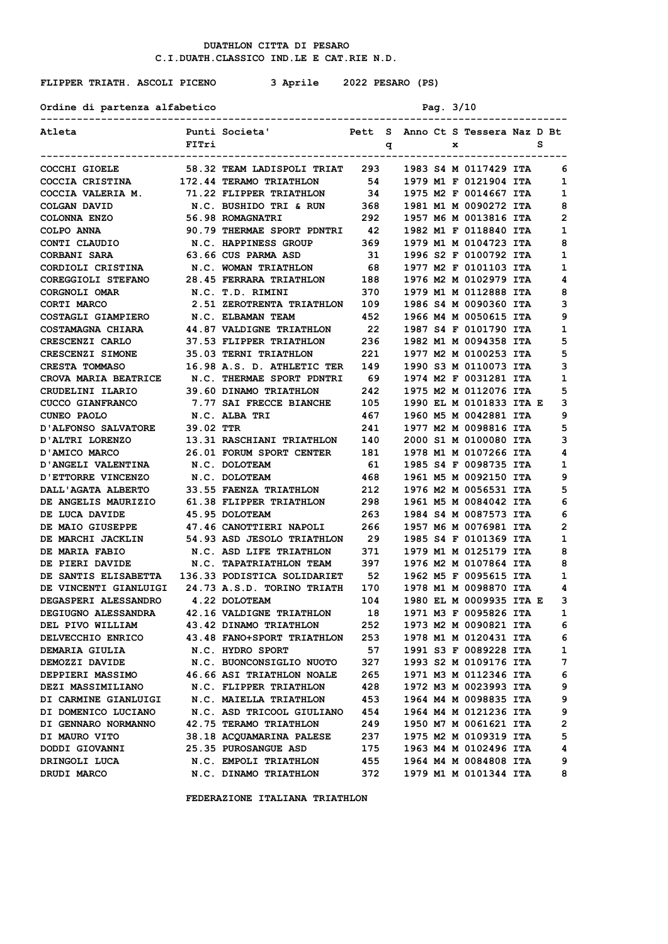## **FLIPPER TRIATH. ASCOLI PICENO 3 Aprile 2022 PESARO (PS)**

| Ordine di partenza alfabetico      |           |                                                                                    |       |   | Pag. 3/10 |   |                                   |   |                |
|------------------------------------|-----------|------------------------------------------------------------------------------------|-------|---|-----------|---|-----------------------------------|---|----------------|
| Atleta                             | FITri     | Punti Societa'                                                                     |       | q |           | x | Pett S Anno Ct S Tessera Naz D Bt | s |                |
| COCCHI GIOELE                      |           | --------------------------<br>58.32 TEAM LADISPOLI TRIAT 293 1983 S4 M 0117429 ITA |       |   |           |   |                                   |   | 6              |
| COCCIA CRISTINA                    |           | 172.44 TERAMO TRIATHLON                                                            | 54    |   |           |   | 1979 M1 F 0121904 ITA             |   | 1              |
| COCCIA VALERIA M.                  |           | 71.22 FLIPPER TRIATHLON                                                            | 34    |   |           |   | 1975 M2 F 0014667 ITA             |   | 1              |
| COLGAN DAVID                       |           | N.C. BUSHIDO TRI & RUN                                                             | 368   |   |           |   | 1981 M1 M 0090272 ITA             |   | 8              |
| COLONNA ENZO                       |           | 56.98 ROMAGNATRI                                                                   | 292   |   |           |   | 1957 M6 M 0013816 ITA             |   | 2              |
| COLPO ANNA                         |           | 90.79 THERMAE SPORT PDNTRI 42                                                      |       |   |           |   | 1982 M1 F 0118840 ITA             |   | 1              |
| CONTI CLAUDIO M.C. HAPPINESS GROUP |           |                                                                                    | 369   |   |           |   | 1979 M1 M 0104723 ITA             |   | 8              |
| <b>CORBANI SARA</b>                |           | 63.66 CUS PARMA ASD                                                                | 31    |   |           |   | 1996 S2 F 0100792 ITA             |   | 1              |
| CORDIOLI CRISTINA                  |           | N.C. WOMAN TRIATHLON                                                               | 68    |   |           |   | 1977 M2 F 0101103 ITA             |   | 1              |
| COREGGIOLI STEFANO                 |           | 28.45 FERRARA TRIATHLON                                                            | 188   |   |           |   | 1976 M2 M 0102979 ITA             |   | 4              |
| CORGNOLI OMAR                      |           | N.C. T.D. RIMINI                                                                   | 370   |   |           |   | 1979 M1 M 0112888 ITA             |   | 8              |
| CORTI MARCO                        |           | 2.51 ZEROTRENTA TRIATHLON 109                                                      |       |   |           |   | 1986 S4 M 0090360 ITA             |   | 3              |
| COSTAGLI GIAMPIERO                 |           | <b>N.C. ELBAMAN TEAM</b>                                                           | 452   |   |           |   | 1966 M4 M 0050615 ITA             |   | 9              |
| <b>COSTAMAGNA CHIARA</b>           |           | 44.87 VALDIGNE TRIATHLON                                                           | 22    |   |           |   | 1987 S4 F 0101790 ITA             |   | 1              |
| CRESCENZI CARLO                    |           | 37.53 FLIPPER TRIATHLON                                                            | 236   |   |           |   | 1982 M1 M 0094358 ITA             |   | 5              |
| CRESCENZI SIMONE                   |           | 35.03 TERNI TRIATHLON                                                              | 221   |   |           |   | 1977 M2 M 0100253 ITA             |   | 5              |
| <b>CRESTA TOMMASO</b>              |           | <b>16.98 A.S. D. ATHLETIC TER</b>                                                  | 149   |   |           |   | 1990 S3 M 0110073 ITA             |   | 3              |
|                                    |           | CROVA MARIA BEATRICE N.C. THERMAE SPORT PDNTRI                                     | 69    |   |           |   | 1974 M2 F 0031281 ITA             |   | 1              |
| CRUDELINI ILARIO                   |           | <b>39.60 DINAMO TRIATHLON</b>                                                      | 242   |   |           |   | 1975 M2 M 0112076 ITA             |   | 5              |
| <b>CUCCO GIANFRANCO</b>            |           | 7.77 SAI FRECCE BIANCHE 105                                                        |       |   |           |   | 1990 EL M 0101833 ITA E           |   | з              |
| CUNEO PAOLO                        |           | <b>N.C. ALBA TRI</b>                                                               | 467   |   |           |   | 1960 M5 M 0042881 ITA             |   | 9              |
| D'ALFONSO SALVATORE                | 39.02 TTR |                                                                                    | 241   |   |           |   | 1977 M2 M 0098816 ITA             |   | 5              |
| D'ALTRI LORENZO                    |           | 13.31 RASCHIANI TRIATHLON                                                          | 140   |   |           |   | 2000 S1 M 0100080 ITA             |   | 3              |
| D'AMICO MARCO                      |           | <b>26.01 FORUM SPORT CENTER</b>                                                    | 181   |   |           |   | 1978 M1 M 0107266 ITA             |   | 4              |
| D'ANGELI VALENTINA                 |           | N.C. DOLOTEAM                                                                      | 61    |   |           |   | 1985 S4 F 0098735 ITA             |   | 1              |
| D'ETTORRE VINCENZO                 |           | N.C. DOLOTEAM                                                                      | 468   |   |           |   | 1961 M5 M 0092150 ITA             |   | 9              |
| DALL'AGATA ALBERTO                 |           | 33.55 FAENZA TRIATHLON                                                             | 212   |   |           |   | 1976 M2 M 0056531 ITA             |   | 5              |
| DE ANGELIS MAURIZIO                |           | 61.38 FLIPPER TRIATHLON                                                            | 298   |   |           |   | 1961 M5 M 0084042 ITA             |   | 6              |
| DE LUCA DAVIDE                     |           | 45.95 DOLOTEAM                                                                     | 263   |   |           |   | 1984 S4 M 0087573 ITA             |   | 6              |
| DE MAIO GIUSEPPE                   |           | 47.46 CANOTTIERI NAPOLI                                                            | 266 — |   |           |   | 1957 M6 M 0076981 ITA             |   | 2              |
| DE MARCHI JACKLIN                  |           | 54.93 ASD JESOLO TRIATHLON 29                                                      |       |   |           |   | 1985 S4 F 0101369 ITA             |   | 1              |
| <b>DE MARIA FABIO</b>              |           | N.C. ASD LIFE TRIATHLON                                                            | 371   |   |           |   | 1979 M1 M 0125179 ITA             |   | 8              |
| DE PIERI DAVIDE                    |           | <b>N.C. TAPATRIATHLON TEAM</b>                                                     | 397   |   |           |   | 1976 M2 M 0107864 ITA             |   | 8              |
| DE SANTIS ELISABETTA               |           | 136.33 PODISTICA SOLIDARIET                                                        | 52    |   |           |   | 1962 M5 F 0095615 ITA             |   | 1              |
|                                    |           | DE VINCENTI GIANLUIGI 24.73 A.S.D. TORINO TRIATH                                   | 170   |   |           |   | 1978 M1 M 0098870 ITA             |   | 4              |
| DEGASPERI ALESSANDRO 4.22 DOLOTEAM |           |                                                                                    | 104   |   |           |   | 1980 EL M 0009935 ITA E           |   | з              |
| <b>DEGIUGNO ALESSANDRA</b>         |           | 42.16 VALDIGNE TRIATHLON                                                           | 18    |   |           |   | 1971 M3 F 0095826 ITA             |   | $\mathbf{1}$   |
| DEL PIVO WILLIAM                   |           | 43.42 DINAMO TRIATHLON                                                             | 252   |   |           |   | 1973 M2 M 0090821 ITA             |   | 6              |
| DELVECCHIO ENRICO                  |           | 43.48 FANO+SPORT TRIATHLON                                                         | 253   |   |           |   | 1978 M1 M 0120431 ITA             |   | 6              |
| DEMARIA GIULIA                     |           | N.C. HYDRO SPORT                                                                   | 57    |   |           |   | 1991 S3 F 0089228 ITA             |   | 1              |
| DEMOZZI DAVIDE                     |           | N.C. BUONCONSIGLIO NUOTO                                                           | 327   |   |           |   | 1993 S2 M 0109176 ITA             |   | 7              |
| <b>DEPPIERI MASSIMO</b>            |           | 46.66 ASI TRIATHLON NOALE                                                          | 265   |   |           |   | 1971 M3 M 0112346 ITA             |   | 6              |
| <b>DEZI MASSIMILIANO</b>           |           | <b>N.C. FLIPPER TRIATHLON</b>                                                      | 428   |   |           |   | 1972 M3 M 0023993 ITA             |   | 9              |
| DI CARMINE GIANLUIGI               |           | N.C. MAIELLA TRIATHLON                                                             | 453   |   |           |   | 1964 M4 M 0098835 ITA             |   | 9              |
| DI DOMENICO LUCIANO                |           | N.C. ASD TRICOOL GIULIANO                                                          | 454   |   |           |   | 1964 M4 M 0121236 ITA             |   | 9              |
| DI GENNARO NORMANNO                |           | 42.75 TERAMO TRIATHLON                                                             | 249   |   |           |   | 1950 M7 M 0061621 ITA             |   | $\overline{2}$ |
| DI MAURO VITO                      |           | 38.18 ACQUAMARINA PALESE                                                           | 237   |   |           |   | 1975 M2 M 0109319 ITA             |   | 5              |
| DODDI GIOVANNI                     |           | 25.35 PUROSANGUE ASD                                                               | 175   |   |           |   | 1963 M4 M 0102496 ITA             |   | 4              |
| DRINGOLI LUCA                      |           | N.C. EMPOLI TRIATHLON                                                              | 455   |   |           |   | 1964 M4 M 0084808 ITA             |   | 9              |
| DRUDI MARCO                        |           | N.C. DINAMO TRIATHLON                                                              | 372   |   |           |   | 1979 M1 M 0101344 ITA             |   | 8              |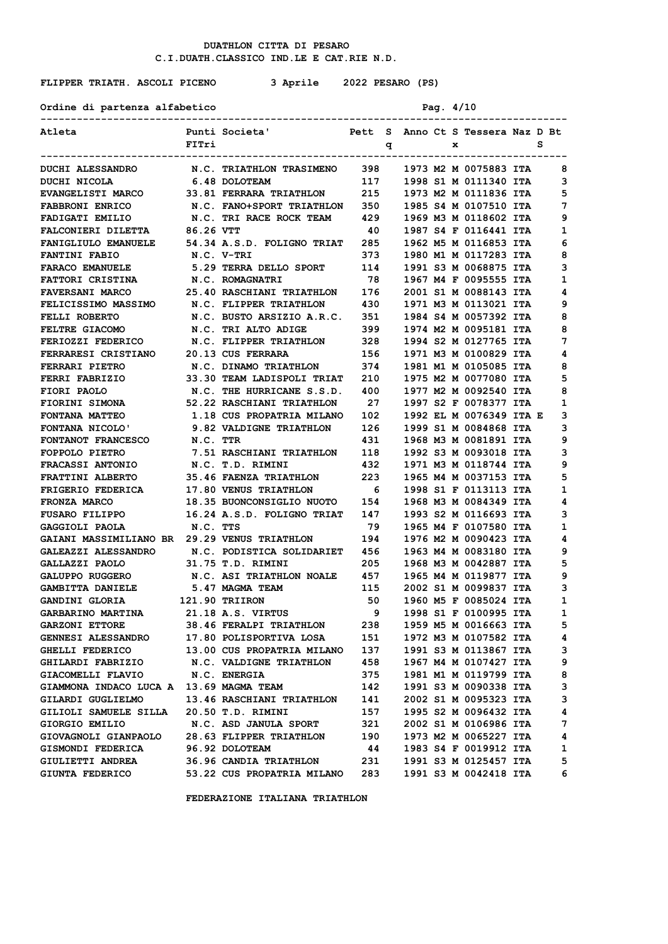## **FLIPPER TRIATH. ASCOLI PICENO 3 Aprile 2022 PESARO (PS)**

Ordine di partenza alfabetico Pag. 4/10

| Atleta                                              |            | Punti Societa'<br>Pett S Anno Ct S Tessera Naz D Bt |     |   |  |   |                         |   |
|-----------------------------------------------------|------------|-----------------------------------------------------|-----|---|--|---|-------------------------|---|
|                                                     | FITri      |                                                     |     | q |  | x |                         | s |
| <b>DUCHI ALESSANDRO</b>                             |            | N.C. TRIATHLON TRASIMENO 398 1973 M2 M 0075883 ITA  |     |   |  |   |                         | 8 |
| DUCHI NICOLA                                        |            | 6.48 DOLOTEAM                                       | 117 |   |  |   | 1998 S1 M 0111340 ITA   | 3 |
| EVANGELISTI MARCO 33.81 FERRARA TRIATHLON 215       |            |                                                     |     |   |  |   | 1973 M2 M 0111836 ITA   | 5 |
| <b>FABBRONI ENRICO</b>                              |            | N.C. FANO+SPORT TRIATHLON 350                       |     |   |  |   | 1985 S4 M 0107510 ITA   | 7 |
| FADIGATI EMILIO                                     |            | N.C. TRI RACE ROCK TEAM 429                         |     |   |  |   | 1969 M3 M 0118602 ITA   | 9 |
| <b>FALCONIERI DILETTA</b>                           | 86.26 VTT  |                                                     | 40  |   |  |   | 1987 S4 F 0116441 ITA   | 1 |
| <b>FANIGLIULO EMANUELE</b>                          |            | 54.34 A.S.D. FOLIGNO TRIAT 285                      |     |   |  |   | 1962 M5 M 0116853 ITA   | 6 |
| <b>FANTINI FABIO</b>                                | N.C. V-TRI |                                                     | 373 |   |  |   | 1980 M1 M 0117283 ITA   | 8 |
| <b>FARACO EMANUELE</b>                              |            | 5.29 TERRA DELLO SPORT                              | 114 |   |  |   | 1991 S3 M 0068875 ITA   | 3 |
| FATTORI CRISTINA N.C. ROMAGNATRI                    |            |                                                     | 78  |   |  |   | 1967 M4 F 0095555 ITA   | 1 |
| FAVERSANI MARCO 25.40 RASCHIANI TRIATHLON 176       |            |                                                     |     |   |  |   | 2001 S1 M 0088143 ITA   | 4 |
| <b>FELICISSIMO MASSIMO</b>                          |            | N.C. FLIPPER TRIATHLON 430                          |     |   |  |   | 1971 M3 M 0113021 ITA   | 9 |
| FELLI ROBERTO                                       |            | N.C. BUSTO ARSIZIO A.R.C. 351                       |     |   |  |   | 1984 S4 M 0057392 ITA   | 8 |
| <b>FELTRE GIACOMO</b>                               |            | N.C. TRI ALTO ADIGE                                 | 399 |   |  |   | 1974 M2 M 0095181 ITA   | 8 |
| FERIOZZI FEDERICO N.C. FLIPPER TRIATHLON 328        |            |                                                     |     |   |  |   | 1994 S2 M 0127765 ITA   | 7 |
| FERRARESI CRISTIANO 20.13 CUS FERRARA               |            |                                                     | 156 |   |  |   | 1971 M3 M 0100829 ITA   | 4 |
| FERRARI PIETRO                                      |            | N.C. DINAMO TRIATHLON 374                           |     |   |  |   | 1981 M1 M 0105085 ITA   | 8 |
| <b>FERRI FABRIZIO</b>                               |            | 33.30 TEAM LADISPOLI TRIAT 210                      |     |   |  |   | 1975 M2 M 0077080 ITA   | 5 |
| FIORI PAOLO                                         |            | N.C. THE HURRICANE S.S.D.                           | 400 |   |  |   | 1977 M2 M 0092540 ITA   | 8 |
| FIORINI SIMONA                                      |            | 52.22 RASCHIANI TRIATHLON                           | 27  |   |  |   | 1997 S2 F 0078377 ITA   | 1 |
| FONTANA MATTEO                                      |            | 1.18 CUS PROPATRIA MILANO 102                       |     |   |  |   | 1992 EL M 0076349 ITA E | з |
| FONTANA NICOLO' 9.82 VALDIGNE TRIATHLON             |            |                                                     | 126 |   |  |   | 1999 S1 M 0084868 ITA   | 3 |
| <b>FONTANOT FRANCESCO</b>                           | N.C. TTR   |                                                     | 431 |   |  |   | 1968 M3 M 0081891 ITA   | 9 |
| <b>FOPPOLO PIETRO</b>                               |            | 7.51 RASCHIANI TRIATHLON 118                        |     |   |  |   | 1992 S3 M 0093018 ITA   | 3 |
| <b>FRACASSI ANTONIO</b>                             |            | N.C. T.D. RIMINI                                    | 432 |   |  |   | 1971 M3 M 0118744 ITA   | 9 |
| FRATTINI ALBERTO                                    |            | <b>35.46 FAENZA TRIATHLON</b>                       | 223 |   |  |   | 1965 M4 M 0037153 ITA   | 5 |
| FRIGERIO FEDERICA                                   |            | <b>17.80 VENUS TRIATHLON</b>                        | - 6 |   |  |   | 1998 S1 F 0113113 ITA   | 1 |
| FRONZA MARCO                                        |            | 18.35 BUONCONSIGLIO NUOTO 154                       |     |   |  |   | 1968 M3 M 0084349 ITA   | 4 |
|                                                     |            |                                                     | 147 |   |  |   | 1993 S2 M 0116693 ITA   | з |
| <b>GAGGIOLI PAOLA</b>                               | N.C. TTS   |                                                     | 79  |   |  |   | 1965 M4 F 0107580 ITA   | 1 |
| <b>GAIANI MASSIMILIANO BR 29.29 VENUS TRIATHLON</b> |            |                                                     | 194 |   |  |   | 1976 M2 M 0090423 ITA   | 4 |
| <b>GALEAZZI ALESSANDRO</b>                          |            | N.C. PODISTICA SOLIDARIET 456                       |     |   |  |   | 1963 M4 M 0083180 ITA   | 9 |
| <b>GALLAZZI PAOLO</b>                               |            | 31.75 T.D. RIMINI                                   | 205 |   |  |   | 1968 M3 M 0042887 ITA   | 5 |
| <b>GALUPPO RUGGERO</b>                              |            | N.C. ASI TRIATHLON NOALE 457                        |     |   |  |   | 1965 M4 M 0119877 ITA   | 9 |
| <b>GAMBITTA DANIELE</b>                             |            | 5.47 MAGMA TEAM                                     | 115 |   |  |   | 2002 S1 M 0099837 ITA   | з |
| GANDINI GLORIA                                      |            | 121.90 TRIIRON                                      | 50  |   |  |   | 1960 M5 F 0085024 ITA   | 1 |
| <b>GARBARINO MARTINA</b>                            |            | 21.18 A.S. VIRTUS                                   | 9   |   |  |   | 1998 S1 F 0100995 ITA   | 1 |
| <b>GARZONI ETTORE</b>                               |            | 38.46 FERALPI TRIATHLON                             | 238 |   |  |   | 1959 M5 M 0016663 ITA   | 5 |
| <b>GENNESI ALESSANDRO</b>                           |            | 17.80 POLISPORTIVA LOSA                             | 151 |   |  |   | 1972 M3 M 0107582 ITA   | 4 |
| GHELLI FEDERICO                                     |            | 13.00 CUS PROPATRIA MILANO                          | 137 |   |  |   | 1991 S3 M 0113867 ITA   | 3 |
| GHILARDI FABRIZIO                                   |            | N.C. VALDIGNE TRIATHLON                             | 458 |   |  |   | 1967 M4 M 0107427 ITA   | 9 |
| GIACOMELLI FLAVIO                                   |            | <b>N.C. ENERGIA</b>                                 | 375 |   |  |   | 1981 M1 M 0119799 ITA   | 8 |
| GIAMMONA INDACO LUCA A 13.69 MAGMA TEAM             |            |                                                     | 142 |   |  |   | 1991 S3 M 0090338 ITA   | 3 |
| GILARDI GUGLIELMO                                   |            | 13.46 RASCHIANI TRIATHLON                           | 141 |   |  |   | 2002 S1 M 0095323 ITA   | 3 |
| GILIOLI SAMUELE SILLA                               |            | 20.50 T.D. RIMINI                                   | 157 |   |  |   | 1995 S2 M 0096432 ITA   | 4 |
| GIORGIO EMILIO                                      |            | N.C. ASD JANULA SPORT                               | 321 |   |  |   | 2002 S1 M 0106986 ITA   | 7 |
| GIOVAGNOLI GIANPAOLO                                |            | 28.63 FLIPPER TRIATHLON                             | 190 |   |  |   | 1973 M2 M 0065227 ITA   | 4 |
| GISMONDI FEDERICA                                   |            | 96.92 DOLOTEAM                                      | 44  |   |  |   | 1983 S4 F 0019912 ITA   | 1 |
| <b>GIULIETTI ANDREA</b>                             |            | 36.96 CANDIA TRIATHLON                              | 231 |   |  |   | 1991 S3 M 0125457 ITA   | 5 |
| GIUNTA FEDERICO                                     |            | 53.22 CUS PROPATRIA MILANO                          | 283 |   |  |   | 1991 S3 M 0042418 ITA   | 6 |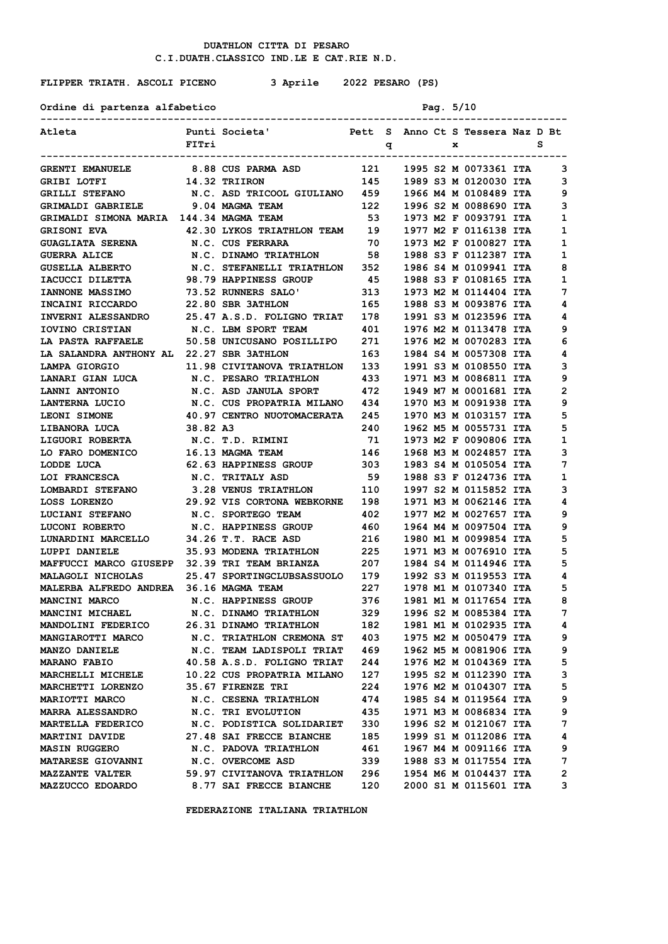## **FLIPPER TRIATH. ASCOLI PICENO 3 Aprile 2022 PESARO (PS)**

Ordine di partenza alfabetico Pag. 5/10

| Atleta                                                                |          | Punti Societa'                         Pett  S   Anno Ct S  Tessera Naz D Bt    |                                          |  |   |                                                        |              |
|-----------------------------------------------------------------------|----------|---------------------------------------------------------------------------------|------------------------------------------|--|---|--------------------------------------------------------|--------------|
|                                                                       | FITri    |                                                                                 | $\mathbf{q}$                             |  | x |                                                        | s            |
| <b>GRENTI EMANUELE</b>                                                |          | ----------------------------<br>8.88 CUS PARMA ASD                              |                                          |  |   | 121 1995 S2 M 0073361 ITA                              | 3            |
| GRIBI LOTFI                                                           |          | 14.32 TRIIRON                                                                   |                                          |  |   | 145 1989 S3 M 0120030 ITA                              | 3            |
| GRILLI STEFANO M.C. ASD TRICOOL GIULIANO 459 1966 M4 M 0108489 ITA    |          |                                                                                 |                                          |  |   |                                                        | 9            |
| GRIMALDI GABRIELE 9.04 MAGMA TEAM                                     |          |                                                                                 |                                          |  |   | 122 1996 S2 M 0088690 ITA                              | 3            |
| GRIMALDI SIMONA MARIA 144.34 MAGMA TEAM                               |          |                                                                                 |                                          |  |   |                                                        | 1            |
| <b>GRISONI EVA</b>                                                    |          | 42.30 LYKOS TRIATHLON TEAM 19 1977 M2 F 0116138 ITA                             |                                          |  |   | 53 1973 M2 F 0093791 ITA                               | 1            |
| <b>GUAGLIATA SERENA</b>                                               |          | N.C. CUS FERRARA                                                                |                                          |  |   | 70 1973 M2 F 0100827 ITA                               | 1            |
| <b>GUERRA ALICE</b>                                                   |          | N.C. DINAMO TRIATHLON 58 1988 S3 F 0112387 ITA                                  |                                          |  |   |                                                        | 1            |
| GUSELLA ALBERTO M.C. STEFANELLI TRIATHLON 352 1986 S4 M 0109941 ITA   |          |                                                                                 |                                          |  |   |                                                        | 8            |
| IACUCCI DILETTA                                                       |          | 98.79 HAPPINESS GROUP                                                           |                                          |  |   | 45 1988 S3 F 0108165 ITA                               | 1            |
| <b>IANNONE MASSIMO</b>                                                |          | 73.52 RUNNERS SALO'                                                             |                                          |  |   |                                                        | 7            |
| INCAINI RICCARDO                                                      |          | <b>22.80 SBR 3ATHLON</b>                                                        |                                          |  |   | 313 1973 M2 M 0114404 ITA<br>165 1988 S3 M 0093876 ITA | 4            |
| <b>INVERNI ALESSANDRO</b>                                             |          | 25.47 A.S.D. FOLIGNO TRIAT 178 1991 S3 M 0123596 ITA                            |                                          |  |   |                                                        | 4            |
| IOVINO CRISTIAN                                                       |          | N.C. LBM SPORT TEAM                                                             |                                          |  |   | 401 1976 M2 M 0113478 ITA                              | 9            |
| LA PASTA RAFFAELE 50.58 UNICUSANO POSILLIPO 271 1976 M2 M 0070283 ITA |          |                                                                                 |                                          |  |   |                                                        | 6            |
| LA SALANDRA ANTHONY AL 22.27 SBR 3ATHLON                              |          |                                                                                 |                                          |  |   | 163 1984 S4 M 0057308 ITA                              | 4            |
| LAMPA GIORGIO                                                         |          | 11.98 CIVITANOVA TRIATHLON 133 1991 S3 M 0108550 ITA                            |                                          |  |   |                                                        | 3            |
| LANARI GIAN LUCA                                                      |          |                                                                                 |                                          |  |   | 1971 M3 M 0086811 ITA                                  | 9            |
| LANNI ANTONIO                                                         |          | N.C. PESARO TRIATHLON              433<br>N.C. ASD JANULA SPORT             472 |                                          |  |   | 1949 M7 M 0001681 ITA                                  | 2            |
| <b>LANTERNA LUCIO</b>                                                 |          | N.C. CUS PROPATRIA MILANO 434                                                   |                                          |  |   | 1970 M3 M 0091938 ITA                                  | 9            |
| <b>LEONI SIMONE</b>                                                   |          | 40.97 CENTRO NUOTOMACERATA 245 1970 M3 M 0103157 ITA                            |                                          |  |   |                                                        | 5            |
| LIBANORA LUCA                                                         | 38.82 A3 |                                                                                 | 240                                      |  |   | 1962 M5 M 0055731 ITA                                  | 5            |
| <b>LIGUORI ROBERTA</b>                                                |          | N.C. T.D. RIMINI                                                                |                                          |  |   | 1973 M2 F 0090806 ITA                                  | 1            |
| LO FARO DOMENICO                                                      |          | 16.13 MAGMA TEAM                                                                | $\begin{array}{c} 71 \\ 146 \end{array}$ |  |   | 1968 M3 M 0024857 ITA                                  | 3            |
| LODDE LUCA                                                            |          | <b>62.63 HAPPINESS GROUP</b>                                                    | 303                                      |  |   | 1983 S4 M 0105054 ITA                                  | 7            |
| LOI FRANCESCA N.C. TRITALY ASD                                        |          |                                                                                 |                                          |  |   | 59 1988 S3 F 0124736 ITA                               | 1            |
| LOMBARDI STEFANO 3.28 VENUS TRIATHLON 110                             |          |                                                                                 |                                          |  |   | 1997 S2 M 0115852 ITA                                  | 3            |
| LOSS LORENZO                                                          |          | 29.92 VIS CORTONA WEBKORNE 198                                                  |                                          |  |   | 1971 M3 M 0062146 ITA                                  | 4            |
| LUCIANI STEFANO N.C. SPORTEGO TEAM                                    |          |                                                                                 | 402                                      |  |   | 1977 M2 M 0027657 ITA                                  | 9            |
| <b>LUCONI ROBERTO</b>                                                 |          | N.C. HAPPINESS GROUP                                                            | 460                                      |  |   | 1964 M4 M 0097504 ITA                                  | 9            |
| LUNARDINI MARCELLO                                                    |          | 34.26 T.T. RACE ASD                                                             | 216                                      |  |   | 1980 M1 M 0099854 ITA                                  | 5            |
| LUPPI DANIELE                                                         |          | 35.93 MODENA TRIATHLON 225                                                      |                                          |  |   | 1971 M3 M 0076910 ITA                                  | 5            |
| MAFFUCCI MARCO GIUSEPP 32.39 TRI TEAM BRIANZA 207                     |          |                                                                                 |                                          |  |   | 1984 S4 M 0114946 ITA                                  | 5            |
| MALAGOLI NICHOLAS 25.47 SPORTINGCLUBSASSUOLO 179                      |          |                                                                                 |                                          |  |   | 1992 S3 M 0119553 ITA                                  | 4            |
| MALERBA ALFREDO ANDREA 36.16 MAGMA TEAM                               |          |                                                                                 |                                          |  |   | 227 1978 M1 M 0107340 ITA                              | 5            |
|                                                                       |          |                                                                                 |                                          |  |   |                                                        | 8            |
|                                                                       |          |                                                                                 |                                          |  |   |                                                        | 7            |
| <b>MANDOLINI FEDERICO</b>                                             |          | 26.31 DINAMO TRIATHLON                                                          | 182                                      |  |   | 1981 M1 M 0102935 ITA                                  | 4            |
| <b>MANGIAROTTI MARCO</b>                                              |          | N.C. TRIATHLON CREMONA ST                                                       | 403                                      |  |   | 1975 M2 M 0050479 ITA                                  | 9            |
| MANZO DANIELE                                                         |          | N.C. TEAM LADISPOLI TRIAT                                                       | 469                                      |  |   | 1962 M5 M 0081906 ITA                                  | 9            |
| <b>MARANO FABIO</b>                                                   |          | 40.58 A.S.D. FOLIGNO TRIAT 244                                                  |                                          |  |   | 1976 M2 M 0104369 ITA                                  | 5            |
| <b>MARCHELLI MICHELE</b>                                              |          | 10.22 CUS PROPATRIA MILANO                                                      | 127                                      |  |   | 1995 S2 M 0112390 ITA                                  | 3            |
| MARCHETTI LORENZO                                                     |          | 35.67 FIRENZE TRI                                                               | 224                                      |  |   | 1976 M2 M 0104307 ITA                                  | 5            |
| <b>MARIOTTI MARCO</b>                                                 |          | N.C. CESENA TRIATHLON                                                           | 474                                      |  |   | 1985 S4 M 0119564 ITA                                  | 9            |
| <b>MARRA ALESSANDRO</b>                                               |          | N.C. TRI EVOLUTION                                                              | 435                                      |  |   | 1971 M3 M 0086834 ITA                                  | 9            |
| <b>MARTELLA FEDERICO</b>                                              |          | N.C. PODISTICA SOLIDARIET                                                       | 330                                      |  |   | 1996 S2 M 0121067 ITA                                  | 7            |
| <b>MARTINI DAVIDE</b>                                                 |          | 27.48 SAI FRECCE BIANCHE                                                        | 185                                      |  |   | 1999 S1 M 0112086 ITA                                  | 4            |
| <b>MASIN RUGGERO</b>                                                  |          | N.C. PADOVA TRIATHLON                                                           | 461                                      |  |   | 1967 M4 M 0091166 ITA                                  | 9            |
| <b>MATARESE GIOVANNI</b>                                              |          | N.C. OVERCOME ASD                                                               | 339                                      |  |   | 1988 S3 M 0117554 ITA                                  | 7            |
| <b>MAZZANTE VALTER</b>                                                |          | 59.97 CIVITANOVA TRIATHLON                                                      | 296                                      |  |   | 1954 M6 M 0104437 ITA                                  | $\mathbf{2}$ |
| <b>MAZZUCCO EDOARDO</b>                                               |          | 8.77 SAI FRECCE BIANCHE                                                         | 120                                      |  |   | 2000 S1 M 0115601 ITA                                  | 3            |
|                                                                       |          |                                                                                 |                                          |  |   |                                                        |              |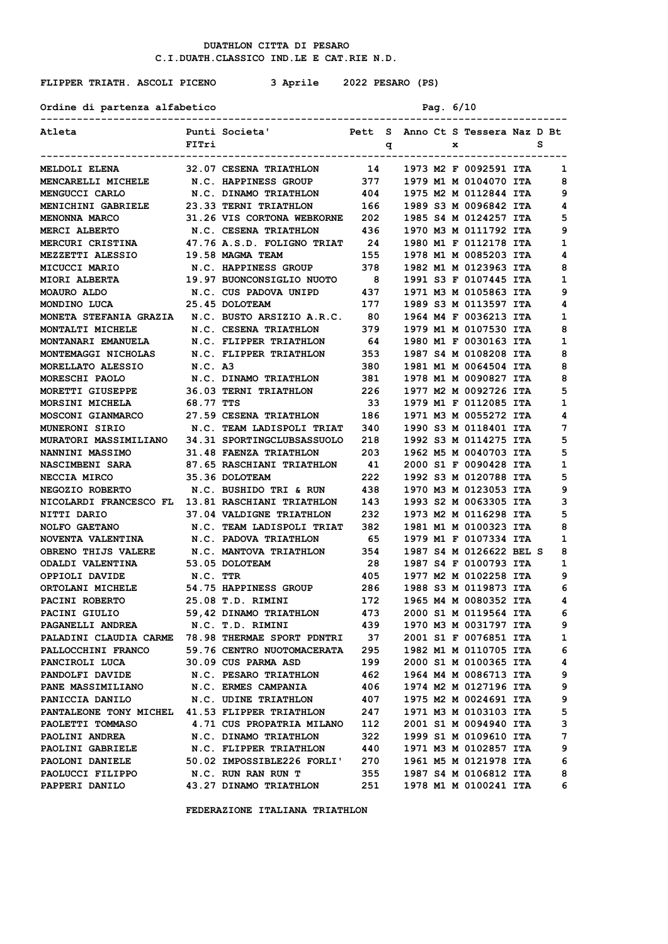#### **FLIPPER TRIATH. ASCOLI PICENO 3 Aprile 2022 PESARO (PS)**

**Ordine di partenza alfabetico Pag. 6/10**

**--------------------------------------------------------------------------------------- Atleta Punti Societa' Pett S Anno Ct S Tessera Naz D Bt F F F E S S --------------------------------------------------------------------------------------- MELDOLI ELENA 32.07 CESENA TRIATHLON 14 1973 M2 F 0092591 ITA 1 MENCARELLI MICHELE N.C. HAPPINESS GROUP 377 1979 M1 M 0104070 ITA 8 MENGUCCI CARLO N.C. DINAMO TRIATHLON 404 1975 M2 M 0112844 ITA 9 MENICHINI GABRIELE 23.33 TERNI TRIATHLON 166 1989 S3 M 0096842 ITA 4 MENONNA MARCO 31.26 VIS CORTONA WEBKORNE 202 1985 S4 M 0124257 ITA 5 MERCI ALBERTO N.C. CESENA TRIATHLON 436 1970 M3 M 0111792 ITA 9 MERCURI CRISTINA 47.76 A.S.D. FOLIGNO TRIAT 24 1980 M1 F 0112178 ITA 1 MEZZETTI ALESSIO 19.58 MAGMA TEAM 155 1978 M1 M 0085203 ITA 4 MICUCCI MARIO N.C. HAPPINESS GROUP 378 1982 M1 M 0123963 ITA 8 MIORI ALBERTA 19.97 BUONCONSIGLIO NUOTO 8 1991 S3 F 0107445 ITA 1 MOAURO ALDO N.C. CUS PADOVA UNIPD 437 1971 M3 M 0105863 ITA 9 MONDINO LUCA 25.45 DOLOTEAM 177 1989 S3 M 0113597 ITA 4 MONETA STEFANIA GRAZIA N.C. BUSTO ARSIZIO A.R.C. 80 1964 M4 F 0036213 ITA 1 MONTALTI MICHELE N.C. CESENA TRIATHLON 379 1979 M1 M 0107530 ITA 8 MONTANARI EMANUELA N.C. FLIPPER TRIATHLON 64 1980 M1 F 0030163 ITA 1 MONTEMAGGI NICHOLAS N.C. FLIPPER TRIATHLON 353 1987 S4 M 0108208 ITA 8 MORELLATO ALESSIO N.C. A3 380 1981 M1 M 0064504 ITA 8 MORESCHI PAOLO N.C. DINAMO TRIATHLON 381 1978 M1 M 0090827 ITA 8 MORETTI GIUSEPPE 36.03 TERNI TRIATHLON 226 1977 M2 M 0092726 ITA 5 MORSINI MICHELA 68.77 TTS 33 1979 M1 F 0112085 ITA 1 MOSCONI GIANMARCO 27.59 CESENA TRIATHLON 186 1971 M3 M 0055272 ITA 4 MUNERONI SIRIO N.C. TEAM LADISPOLI TRIAT 340 1990 S3 M 0118401 ITA 7 MURATORI MASSIMILIANO 34.31 SPORTINGCLUBSASSUOLO 218 1992 S3 M 0114275 ITA 5 NANNINI MASSIMO 31.48 FAENZA TRIATHLON 203 1962 M5 M 0040703 ITA 5 NASCIMBENI SARA 87.65 RASCHIANI TRIATHLON 41 2000 S1 F 0090428 ITA 1 NECCIA MIRCO 35.36 DOLOTEAM 222 1992 S3 M 0120788 ITA 5 NEGOZIO ROBERTO N.C. BUSHIDO TRI & RUN 438 1970 M3 M 0123053 ITA 9 NICOLARDI FRANCESCO FL 13.81 RASCHIANI TRIATHLON 143 1993 S2 M 0063305 ITA 3 NITTI DARIO 37.04 VALDIGNE TRIATHLON 232 1973 M2 M 0116298 ITA 5 NOLFO GAETANO N.C. TEAM LADISPOLI TRIAT 382 1981 M1 M 0100323 ITA 8 NOVENTA VALENTINA N.C. PADOVA TRIATHLON 65 1979 M1 F 0107334 ITA 1**<br> **OBRENO THIJS VALERE N.C. MANTOVA TRIATHLON 354 1987 S4 M 0126622 BEL S 8**<br> **COALDI VALENTINA** 52.05 DOLOTEAM 28 1987 S4 F 9199793 ITA 1 **OBRENO THIJS VALERE M.C. MANTOVA TRIATHLON 354 1987 S4 M 0126622 BEL S 8<br>
<b>ODALDI VALENTINA** 53.05 DOLOTEAM 28 1987 S4 F 0100793 ITA 1 **ODALDI VALENTINA 53.05 DOLOTEAM 28 1987 S4 F 0100793 ITA 1 OPPIOLI DAVIDE N.C. TTR 405 1977 M2 M 0102258 ITA 9 ORTOLANI MICHELE** 54.75 HAPPINESS GROUP 286 1988 S3 M 0119873 ITA 6<br>
PACINI ROBERTO 25.08 T.D. RIMINI 172 1965 M4 M 0080352 ITA 4 **PACINI ROBERTO 25.08 T.D. RIMINI 172 1965 M4 M 0080352 ITA 4 PACINI GIULIO 59,42 DINAMO TRIATHLON 473 2000 S1 M 0119564 ITA 6 PAGANELLI ANDREA N.C. T.D. RIMINI 439 1970 M3 M 0031797 ITA 9 PALADINI CLAUDIA CARME 78.98 THERMAE SPORT PDNTRI 37 2001 S1 F 0076851 ITA 1 PALLOCCHINI FRANCO** 59.76 CENTRO NUOTOMACERATA 295 1982 M1 M 0110705 ITA 6<br>**PANCIROLI LUCA** 30.09 CUS PARMA ASD 199 2000 S1 M 0100365 ITA 4 **PANCIROLI LUCA** 30.09 CUS PARMA ASD 199 2000 S1 M 0100365 ITA 4<br> **PANDOLFI DAVIDE** N.C. PESARO TRIATHLON 462 1964 M4 M 0086713 ITA 9 **PANDOLFI DAVIDE N.C. PESARO TRIATHLON 462 1964 M4 M 0086713 ITA 9**<br> **PANE MASSIMILIANO N.C. ERMES CAMPANIA 406 1974 M2 M 0127196 ITA 9**<br> **PANICCIA DANILO N.C. UDINE TRIATHLON 407 1975 M2 M 0024691 ITA** 9 **PANE MASSIMILIANO N.C. ERMES CAMPANIA 406 1974 M2 M 0127196 ITA 9 PANICCIA DANILO N.C. UDINE TRIATHLON 407 1975 M2 M 0024691 ITA 9 PANTALEONE TONY MICHEL 41.53 FLIPPER TRIATHLON 247 1971 M3 M 0103103 ITA 5 PAOLETTI TOMMASO 4.71 CUS PROPATRIA MILANO 112 2001 S1 M 0094940 ITA 3 PAOLINI ANDREA 1999 S1 M 0109610 ITA 7**<br>PAOLINI GABRIELE 1999 N G ELIPPER ERIALIEN 1440 1971 M3 M 0103857 ITA 1990 P **PAOLINI GABRIELE N.C. FLIPPER TRIATHLON 440 1971 M3 M 0102857 ITA 9 PAOLONI DANIELE 50.02 IMPOSSIBLE226 FORLI' 270 1961 M5 M 0121978 ITA 6 PAOLUCCI FILIPPO N.C. RUN RAN RUN T 355 1987 S4 M 0106812 ITA 8 PAOLUCCI FILIPPO**<br>**PAOLUCCI FILIPPO M.C. RUN RAN RUN T** 355 1987 S4 M 0106812 ITA 8<br>**PAPPERI DANILO** 43.27 DINAMO TRIATHLON 251 1978 M1 M 0100241 ITA 6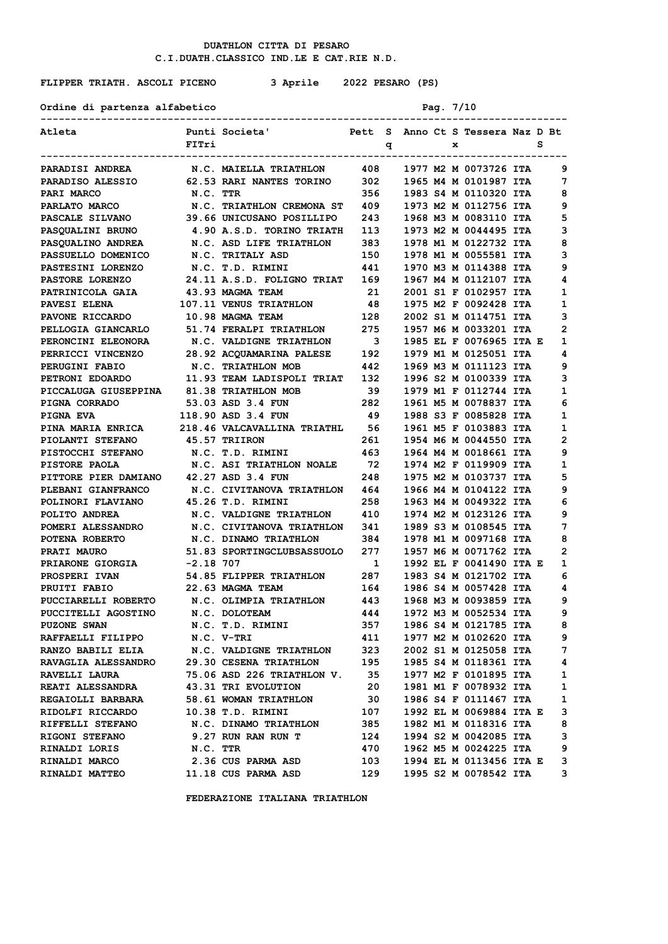### **FLIPPER TRIATH. ASCOLI PICENO 3 Aprile 2022 PESARO (PS)**

| Atleta                                              |           | Punti Societa'<br>Pett S Anno Ct S Tessera Naz D Bt |                         |   |  |   |                         |   |   |
|-----------------------------------------------------|-----------|-----------------------------------------------------|-------------------------|---|--|---|-------------------------|---|---|
|                                                     | FITri     |                                                     |                         | q |  | x |                         | s |   |
| <b>PARADISI ANDREA</b>                              |           | N.C. MAIELLA TRIATHLON 408                          |                         |   |  |   | 1977 M2 M 0073726 ITA   |   | 9 |
| <b>PARADISO ALESSIO</b>                             |           | <b>62.53 RARI NANTES TORINO</b>                     | 302                     |   |  |   | 1965 M4 M 0101987 ITA   |   | 7 |
| <b>PARI MARCO</b>                                   | N.C. TTR  |                                                     | 356                     |   |  |   | 1983 S4 M 0110320 ITA   |   | 8 |
| PARLATO MARCO                                       |           | N.C. TRIATHLON CREMONA ST 409                       |                         |   |  |   | 1973 M2 M 0112756 ITA   |   | 9 |
| <b>PASCALE SILVANO</b>                              |           | 39.66 UNICUSANO POSILLIPO                           | 243                     |   |  |   | 1968 M3 M 0083110 ITA   |   | 5 |
| <b>PASQUALINI BRUNO</b>                             |           | 4.90 A.S.D. TORINO TRIATH                           | 113                     |   |  |   | 1973 M2 M 0044495 ITA   |   | з |
| <b>PASQUALINO ANDREA</b>                            |           | N.C. ASD LIFE TRIATHLON                             | 383                     |   |  |   | 1978 M1 M 0122732 ITA   |   | 8 |
| <b>PASSUELLO DOMENICO</b>                           |           | N.C. TRITALY ASD                                    | 150                     |   |  |   | 1978 M1 M 0055581 ITA   |   | 3 |
| <b>PASTESINI LORENZO</b>                            |           | N.C. T.D. RIMINI                                    | 441                     |   |  |   | 1970 M3 M 0114388 ITA   |   | 9 |
| <b>PASTORE LORENZO</b>                              |           | 24.11 A.S.D. FOLIGNO TRIAT 169                      |                         |   |  |   | 1967 M4 M 0112107 ITA   |   | 4 |
| <b>PATRINICOLA GAIA</b>                             |           | 43.93 MAGMA TEAM                                    | 21                      |   |  |   | 2001 S1 F 0102957 ITA   |   | 1 |
| <b>PAVESI ELENA</b>                                 |           | 107.11 VENUS TRIATHLON 48                           |                         |   |  |   | 1975 M2 F 0092428 ITA   |   | 1 |
| <b>PAVONE RICCARDO</b>                              |           | <b>10.98 MAGMA TEAM</b>                             | 128                     |   |  |   | 2002 S1 M 0114751 ITA   |   | 3 |
| <b>PELLOGIA GIANCARLO</b>                           |           | 51.74 FERALPI TRIATHLON                             | 275                     |   |  |   | 1957 M6 M 0033201 ITA   |   | 2 |
| <b>PERONCINI ELEONORA</b>                           |           | N.C. VALDIGNE TRIATHLON                             | $\overline{\mathbf{3}}$ |   |  |   | 1985 EL F 0076965 ITA E |   | 1 |
| <b>PERRICCI VINCENZO</b>                            |           | 28.92 ACQUAMARINA PALESE                            | 192                     |   |  |   | 1979 M1 M 0125051 ITA   |   | 4 |
| <b>PERUGINI FABIO</b>                               |           | N.C. TRIATHLON MOB                                  | 442                     |   |  |   | 1969 M3 M 0111123 ITA   |   | 9 |
| PETRONI EDOARDO                                     |           | 11.93 TEAM LADISPOLI TRIAT                          | 132                     |   |  |   | 1996 S2 M 0100339 ITA   |   | з |
| PICCALUGA GIUSEPPINA 81.38 TRIATHLON MOB            |           |                                                     | - 39                    |   |  |   | 1979 M1 F 0112744 ITA   |   | 1 |
| <b>PIGNA CORRADO</b>                                |           | 53.03 ASD 3.4 FUN                                   | 282                     |   |  |   | 1961 M5 M 0078837 ITA   |   | 6 |
| <b>PIGNA EVA</b>                                    |           | 118.90 ASD 3.4 FUN                                  | - 49                    |   |  |   | 1988 S3 F 0085828 ITA   |   | 1 |
| PINA MARIA ENRICA                                   |           | 218.46 VALCAVALLINA TRIATHL 56                      |                         |   |  |   | 1961 M5 F 0103883 ITA   |   | 1 |
| <b>PIOLANTI STEFANO</b>                             |           | 45.57 TRIIRON                                       | 261                     |   |  |   | 1954 M6 M 0044550 ITA   |   | 2 |
| PISTOCCHI STEFANO N.C. T.D. RIMINI                  |           |                                                     | 463                     |   |  |   | 1964 M4 M 0018661 ITA   |   | 9 |
| <b>PISTORE PAOLA</b>                                |           | N.C. ASI TRIATHLON NOALE 72                         |                         |   |  |   | 1974 M2 F 0119909 ITA   |   | 1 |
| <b>PITTORE PIER DAMIANO</b>                         |           | 42.27 ASD 3.4 FUN                                   | 248                     |   |  |   | 1975 M2 M 0103737 ITA   |   | 5 |
| <b>PLEBANI GIANFRANCO</b>                           |           | N.C. CIVITANOVA TRIATHLON 464                       |                         |   |  |   | 1966 M4 M 0104122 ITA   |   | 9 |
| <b>POLINORI FLAVIANO</b>                            |           | 45.26 T.D. RIMINI                                   | 258                     |   |  |   | 1963 M4 M 0049322 ITA   |   | 6 |
| <b>POLITO ANDREA</b>                                |           | N.C. VALDIGNE TRIATHLON                             | 410                     |   |  |   | 1974 M2 M 0123126 ITA   |   | 9 |
| POMERI ALESSANDRO         N.C. CIVITANOVA TRIATHLON |           |                                                     | 341                     |   |  |   | 1989 S3 M 0108545 ITA   |   | 7 |
| <b>POTENA ROBERTO</b>                               |           | N.C. DINAMO TRIATHLON                               | 384                     |   |  |   | 1978 M1 M 0097168 ITA   |   | 8 |
| <b>PRATI MAURO</b>                                  |           | 51.83 SPORTINGCLUBSASSUOLO                          | 277                     |   |  |   | 1957 M6 M 0071762 ITA   |   | 2 |
| <b>PRIARONE GIORGIA</b>                             | -2.18 707 |                                                     | $\mathbf{1}$            |   |  |   | 1992 EL F 0041490 ITA E |   | 1 |
| <b>PROSPERI IVAN</b>                                |           | 54.85 FLIPPER TRIATHLON                             | 287                     |   |  |   | 1983 S4 M 0121702 ITA   |   | 6 |
| <b>PRUITI FABIO</b>                                 |           | 22.63 MAGMA TEAM                                    | 164                     |   |  |   | 1986 S4 M 0057428 ITA   |   | 4 |
| PUCCIARELLI ROBERTO       N.C. OLIMPIA TRIATHLON    |           |                                                     | 443                     |   |  |   | 1968 M3 M 0093859 ITA   |   | 9 |
| PUCCITELLI AGOSTINO                                 |           | N.C. DOLOTEAM                                       | 444                     |   |  |   | 1972 M3 M 0052534 ITA   |   | 9 |
| <b>PUZONE SWAN</b>                                  |           | N.C. T.D. RIMINI                                    | 357                     |   |  |   | 1986 S4 M 0121785 ITA   |   | 8 |
| <b>RAFFAELLI FILIPPO</b>                            |           | N.C. V-TRI                                          | 411                     |   |  |   | 1977 M2 M 0102620 ITA   |   | 9 |
| <b>RANZO BABILI ELIA</b>                            |           | N.C. VALDIGNE TRIATHLON                             | 323                     |   |  |   | 2002 S1 M 0125058 ITA   |   | 7 |
| <b>RAVAGLIA ALESSANDRO</b>                          |           | 29.30 CESENA TRIATHLON                              | 195                     |   |  |   | 1985 S4 M 0118361 ITA   |   | 4 |
| <b>RAVELLI LAURA</b>                                |           | 75.06 ASD 226 TRIATHLON V. 35                       |                         |   |  |   | 1977 M2 F 0101895 ITA   |   | 1 |
| <b>REATI ALESSANDRA</b>                             |           | 43.31 TRI EVOLUTION                                 | 20                      |   |  |   | 1981 M1 F 0078932 ITA   |   | 1 |
| <b>REGAIOLLI BARBARA</b>                            |           | 58.61 WOMAN TRIATHLON                               | - 30                    |   |  |   | 1986 S4 F 0111467 ITA   |   | 1 |
| RIDOLFI RICCARDO                                    |           | 10.38 T.D. RIMINI                                   | 107                     |   |  |   | 1992 EL M 0069884 ITA E |   | з |
| <b>RIFFELLI STEFANO</b>                             |           | N.C. DINAMO TRIATHLON                               | 385                     |   |  |   | 1982 M1 M 0118316 ITA   |   | 8 |
| <b>RIGONI STEFANO</b>                               |           | 9.27 RUN RAN RUN T                                  | 124                     |   |  |   | 1994 S2 M 0042085 ITA   |   | 3 |
| RINALDI LORIS                                       | N.C. TTR  |                                                     | 470                     |   |  |   | 1962 M5 M 0024225 ITA   |   | 9 |
| <b>RINALDI MARCO</b>                                |           | 2.36 CUS PARMA ASD                                  | 103                     |   |  |   | 1994 EL M 0113456 ITA E |   | 3 |
| <b>RINALDI MATTEO</b>                               |           | 11.18 CUS PARMA ASD                                 | 129                     |   |  |   | 1995 S2 M 0078542 ITA   |   | 3 |

 **FEDERAZIONE ITALIANA TRIATHLON**

Ordine di partenza alfabetico Pag. 7/10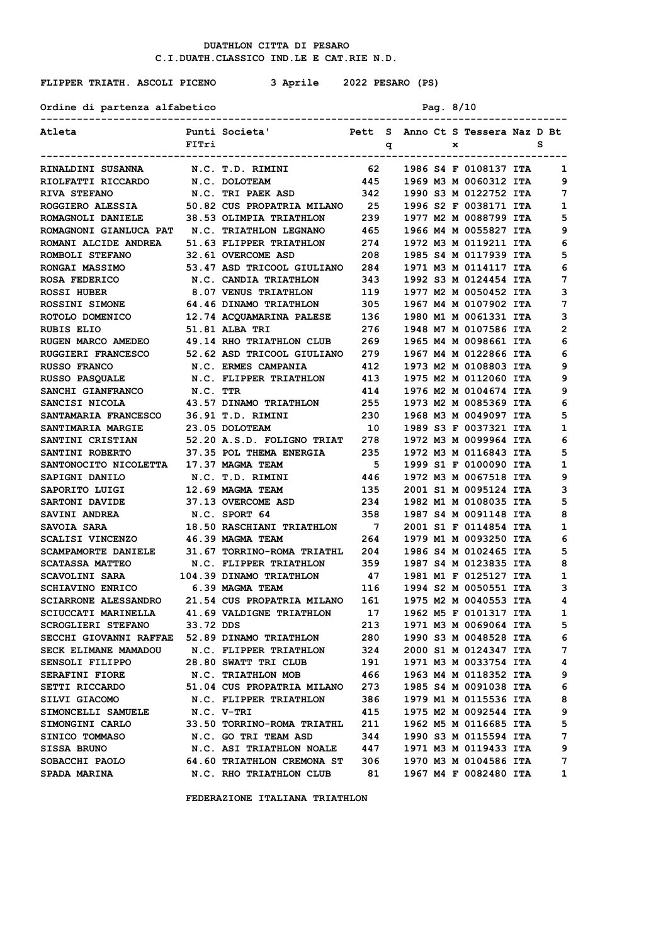## **FLIPPER TRIATH. ASCOLI PICENO 3 Aprile 2022 PESARO (PS)**

Ordine di partenza alfabetico Pag. 8/10

| Atleta                                         |           | Punti Societa'<br>Pett S Anno Ct S Tessera Naz D Bt    |                |   |  |   |                                                |        |
|------------------------------------------------|-----------|--------------------------------------------------------|----------------|---|--|---|------------------------------------------------|--------|
|                                                | FITri     |                                                        |                | q |  | x |                                                | s      |
| <b>RINALDINI SUSANNA</b>                       |           | N.C. T.D. RIMINI                                       | 62             |   |  |   | 1986 S4 F 0108137 ITA                          | 1      |
| RIOLFATTI RICCARDO                             |           | N.C. DOLOTEAM                                          | 445            |   |  |   | 1969 M3 M 0060312 ITA                          | 9      |
| <b>RIVA STEFANO</b>                            |           | N.C. TRI PAEK ASD                                      | 342            |   |  |   | 1990 S3 M 0122752 ITA                          | 7      |
| ROGGIERO ALESSIA                               |           | 50.82 CUS PROPATRIA MILANO 25                          |                |   |  |   | 1996 S2 F 0038171 ITA                          | 1      |
| ROMAGNOLI DANIELE                              |           | 38.53 OLIMPIA TRIATHLON                                | 239            |   |  |   | 1977 M2 M 0088799 ITA                          | 5      |
| ROMAGNONI GIANLUCA PAT N.C. TRIATHLON LEGNANO  |           |                                                        | 465            |   |  |   | 1966 M4 M 0055827 ITA                          | 9      |
| ROMANI ALCIDE ANDREA                           |           | 51.63 FLIPPER TRIATHLON                                | 274            |   |  |   | 1972 M3 M 0119211 ITA                          | 6      |
| ROMBOLI STEFANO                                |           | 32.61 OVERCOME ASD                                     | 208            |   |  |   | 1985 S4 M 0117939 ITA                          | 5      |
| <b>RONGAI MASSIMO</b>                          |           | 53.47 ASD TRICOOL GIULIANO                             | 284            |   |  |   | 1971 M3 M 0114117 ITA                          | 6      |
| <b>ROSA FEDERICO</b>                           |           | N.C. CANDIA TRIATHLON                                  | 343            |   |  |   | 1992 S3 M 0124454 ITA                          | 7      |
| <b>ROSSI HUBER</b>                             |           | <b>8.07 VENUS TRIATHLON</b>                            | 119            |   |  |   | 1977 M2 M 0050452 ITA                          | 3      |
| <b>ROSSINI SIMONE</b>                          |           | 64.46 DINAMO TRIATHLON                                 | 305            |   |  |   | 1967 M4 M 0107902 ITA                          | 7      |
| ROTOLO DOMENICO                                |           | 12.74 ACQUAMARINA PALESE                               | 136            |   |  |   | 1980 M1 M 0061331 ITA                          | 3      |
| <b>RUBIS ELIO</b>                              |           | 51.81 ALBA TRI                                         | 276            |   |  |   | 1948 M7 M 0107586 ITA                          | 2      |
| RUGEN MARCO AMEDEO 49.14 RHO TRIATHLON CLUB    |           |                                                        | 269 —          |   |  |   | 1965 M4 M 0098661 ITA                          | 6      |
| <b>RUGGIERI FRANCESCO</b>                      |           | 52.62 ASD TRICOOL GIULIANO                             | 279            |   |  |   | 1967 M4 M 0122866 ITA                          | 6      |
| <b>RUSSO FRANCO</b>                            |           | N.C. ERMES CAMPANIA                                    | 412            |   |  |   | 1973 M2 M 0108803 ITA                          | 9      |
| <b>RUSSO PASQUALE</b>                          |           | N.C. FLIPPER TRIATHLON                                 | 413            |   |  |   | 1975 M2 M 0112060 ITA                          | 9      |
| SANCHI GIANFRANCO                              | N.C. TTR  |                                                        | 414            |   |  |   | 1976 M2 M 0104674 ITA                          | 9      |
| SANCISI NICOLA                                 |           | 43.57 DINAMO TRIATHLON                                 | 255            |   |  |   | 1973 M2 M 0085369 ITA                          | 6      |
| <b>SANTAMARIA FRANCESCO</b>                    |           | 36.91 T.D. RIMINI                                      | 230            |   |  |   | 1968 M3 M 0049097 ITA                          | 5      |
| SANTIMARIA MARGIE                              |           | 23.05 DOLOTEAM                                         | 10             |   |  |   | 1989 S3 F 0037321 ITA                          | 1      |
| <b>SANTINI CRISTIAN</b>                        |           | 52.20 A.S.D. FOLIGNO TRIAT                             | 278            |   |  |   | 1972 M3 M 0099964 ITA                          | 6      |
| SANTINI ROBERTO                                |           | 37.35 POL THEMA ENERGIA                                | 235            |   |  |   | 1972 M3 M 0116843 ITA                          | 5      |
| SANTONOCITO NICOLETTA                          |           | 17.37 MAGMA TEAM                                       | - 5            |   |  |   | 1999 S1 F 0100090 ITA                          | 1      |
| SAPIGNI DANILO                                 |           | N.C. T.D. RIMINI                                       | 446            |   |  |   | 1972 M3 M 0067518 ITA                          | 9      |
| SAPORITO LUIGI                                 |           | 12.69 MAGMA TEAM                                       | 135            |   |  |   | 2001 S1 M 0095124 ITA                          | 3      |
| SARTONI DAVIDE                                 |           | 37.13 OVERCOME ASD                                     | 234            |   |  |   | 1982 M1 M 0108035 ITA                          | 5      |
| SAVINI ANDREA                                  |           | N.C. SPORT 64                                          | 358            |   |  |   | 1987 S4 M 0091148 ITA                          | 8      |
|                                                |           | 18.50 RASCHIANI TRIATHLON                              | $\overline{7}$ |   |  |   | 2001 S1 F 0114854 ITA                          | 1      |
| <b>SAVOIA SARA</b>                             |           |                                                        | 264            |   |  |   |                                                | 6      |
| <b>SCALISI VINCENZO</b><br>SCAMPAMORTE DANIELE |           | 46.39 MAGMA TEAM<br>31.67 TORRINO-ROMA TRIATHL         | 204            |   |  |   | 1979 M1 M 0093250 ITA                          | 5      |
|                                                |           |                                                        |                |   |  |   | 1986 S4 M 0102465 ITA                          |        |
| <b>SCATASSA MATTEO</b>                         |           | N.C. FLIPPER TRIATHLON<br>104.39 DINAMO TRIATHLON      | 359            |   |  |   | 1987 S4 M 0123835 ITA<br>1981 M1 F 0125127 ITA | 8      |
| <b>SCAVOLINI SARA</b>                          |           | 6.39 MAGMA TEAM                                        | 47<br>116      |   |  |   | 1994 S2 M 0050551 ITA                          | 1<br>3 |
| SCHIAVINO ENRICO                               |           |                                                        |                |   |  |   |                                                |        |
| <b>SCIARRONE ALESSANDRO</b>                    |           | 21.54 CUS PROPATRIA MILANO<br>41.69 VALDIGNE TRIATHLON | 161<br>17      |   |  |   | 1975 M2 M 0040553 ITA                          | 4<br>1 |
| <b>SCIUCCATI MARINELLA</b>                     |           |                                                        |                |   |  |   | 1962 M5 F 0101317 ITA                          |        |
| SCROGLIERI STEFANO                             | 33.72 DDS |                                                        | 213            |   |  |   | 1971 M3 M 0069064 ITA                          | 5      |
| SECCHI GIOVANNI RAFFAE 52.89 DINAMO TRIATHLON  |           |                                                        | 280            |   |  |   | 1990 S3 M 0048528 ITA                          | 6      |
| SECK ELIMANE MAMADOU N.C. FLIPPER TRIATHLON    |           |                                                        | 324            |   |  |   | 2000 S1 M 0124347 ITA                          | 7      |
| SENSOLI FILIPPO                                |           | 28.80 SWATT TRI CLUB                                   | 191            |   |  |   | 1971 M3 M 0033754 ITA                          | 4      |
| <b>SERAFINI FIORE</b>                          |           | N.C. TRIATHLON MOB                                     | 466            |   |  |   | 1963 M4 M 0118352 ITA                          | 9      |
| SETTI RICCARDO                                 |           | 51.04 CUS PROPATRIA MILANO                             | 273            |   |  |   | 1985 S4 M 0091038 ITA                          | 6      |
| <b>SILVI GIACOMO</b>                           |           | N.C. FLIPPER TRIATHLON                                 | 386            |   |  |   | 1979 M1 M 0115536 ITA                          | 8      |
| SIMONCELLI SAMUELE                             |           | N.C. V-TRI                                             | 415            |   |  |   | 1975 M2 M 0092544 ITA                          | 9      |
| SIMONGINI CARLO                                |           | 33.50 TORRINO-ROMA TRIATHL                             | 211            |   |  |   | 1962 M5 M 0116685 ITA                          | 5      |
| <b>SINICO TOMMASO</b>                          |           | N.C. GO TRI TEAM ASD                                   | 344            |   |  |   | 1990 S3 M 0115594 ITA                          | 7      |
| <b>SISSA BRUNO</b>                             |           | <b>N.C. ASI TRIATHLON NOALE</b>                        | 447            |   |  |   | 1971 M3 M 0119433 ITA                          | 9      |
| SOBACCHI PAOLO                                 |           | 64.60 TRIATHLON CREMONA ST                             | 306            |   |  |   | 1970 M3 M 0104586 ITA                          | 7      |
| SPADA MARINA                                   |           | N.C. RHO TRIATHLON CLUB                                | 81             |   |  |   | 1967 M4 F 0082480 ITA                          | 1      |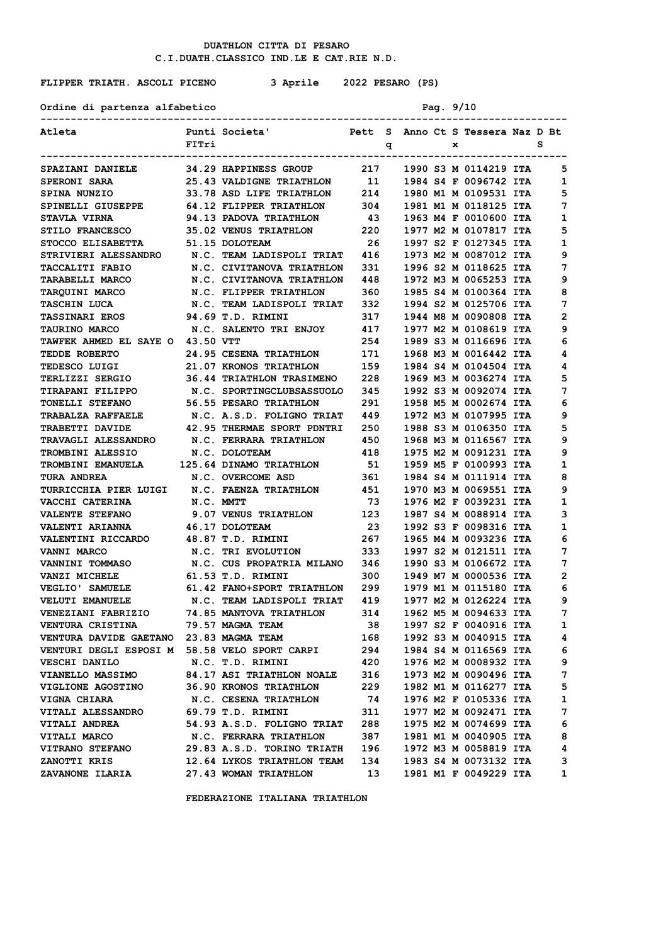Ordine di partenza alfabetico Pag. 9/10

# **FLIPPER TRIATH. ASCOLI PICENO 3 Aprile 2022 PESARO (PS)**

| Atleta                                                                                         |           | Punti Societa'                                    |     |   |  |   | Pett S Anno Ct S Tessera Naz D Bt |   |              |
|------------------------------------------------------------------------------------------------|-----------|---------------------------------------------------|-----|---|--|---|-----------------------------------|---|--------------|
|                                                                                                | FITri     |                                                   |     | q |  | x |                                   | s |              |
|                                                                                                |           | -------------------------------------             |     |   |  |   |                                   |   |              |
| SPAZIANI DANIELE              34.29 HAPPINESS GROUP             217      1990 S3 M 0114219 ITA |           |                                                   |     |   |  |   |                                   |   | 5            |
| <b>SPERONI SARA</b>                                                                            |           | 25.43 VALDIGNE TRIATHLON 11 1984 S4 F 0096742 ITA |     |   |  |   |                                   |   | 1            |
| SPINA NUNZIO                                                                                   |           | 33.78 ASD LIFE TRIATHLON 214                      |     |   |  |   | 1980 M1 M 0109531 ITA             |   | 5            |
| SPINELLI GIUSEPPE                                                                              |           | 64.12 FLIPPER TRIATHLON                           | 304 |   |  |   | 1981 M1 M 0118125 ITA             |   | 7            |
| <b>STAVLA VIRNA</b>                                                                            |           | 94.13 PADOVA TRIATHLON                            | 43  |   |  |   | 1963 M4 F 0010600 ITA             |   | 1            |
| STILO FRANCESCO 35.02 VENUS TRIATHLON 220                                                      |           |                                                   |     |   |  |   | 1977 M2 M 0107817 ITA             |   | 5            |
| STOCCO ELISABETTA 51.15 DOLOTEAM                                                               |           |                                                   | 26  |   |  |   | 1997 S2 F 0127345 ITA             |   | 1            |
| STRIVIERI ALESSANDRO     N.C. TEAM LADISPOLI TRIAT    416                                      |           |                                                   |     |   |  |   | 1973 M2 M 0087012 ITA             |   | 9            |
| <b>TACCALITI FABIO</b>                                                                         |           | N.C. CIVITANOVA TRIATHLON                         | 331 |   |  |   | 1996 S2 M 0118625 ITA             |   | 7            |
| <b>TARABELLI MARCO</b>                                                                         |           | N.C. CIVITANOVA TRIATHLON 448                     |     |   |  |   | 1972 M3 M 0065253 ITA             |   | 9            |
| <b>TARQUINI MARCO</b>                                                                          |           | N.C. FLIPPER TRIATHLON                            | 360 |   |  |   | 1985 S4 M 0100364 ITA             |   | 8            |
| <b>TASCHIN LUCA</b>                                                                            |           | N.C. TEAM LADISPOLI TRIAT 332                     |     |   |  |   | 1994 S2 M 0125706 ITA             |   | 7            |
| TASSINARI EROS 94.69 T.D. RIMINI                                                               |           |                                                   | 317 |   |  |   | 1944 M8 M 0090808 ITA             |   | 2            |
| <b>TAURINO MARCO</b>                                                                           |           | N.C. SALENTO TRI ENJOY 417                        |     |   |  |   | 1977 M2 M 0108619 ITA             |   | 9            |
| <b>TAWFEK AHMED EL SAYE O 43.50 VTT</b>                                                        |           |                                                   | 254 |   |  |   | 1989 S3 M 0116696 ITA             |   | 6            |
| <b>TEDDE ROBERTO</b>                                                                           |           | <b>24.95 CESENA TRIATHLON</b>                     | 171 |   |  |   | 1968 M3 M 0016442 ITA             |   | 4            |
| TEDESCO LUIGI                                                                                  |           | <b>21.07 KRONOS TRIATHLON</b>                     | 159 |   |  |   | 1984 S4 M 0104504 ITA             |   | 4            |
| <b>TERLIZZI SERGIO</b>                                                                         |           | <b>36.44 TRIATHLON TRASIMENO 228</b>              |     |   |  |   | 1969 M3 M 0036274 ITA             |   | 5            |
| <b>TIRAPANI FILIPPO</b>                                                                        |           | N.C. SPORTINGCLUBSASSUOLO                         | 345 |   |  |   | 1992 S3 M 0092074 ITA             |   | 7            |
| <b>TONELLI STEFANO</b>                                                                         |           | 56.55 PESARO TRIATHLON                            | 291 |   |  |   | 1958 M5 M 0002674 ITA             |   | 6            |
| <b>TRABALZA RAFFAELE</b>                                                                       |           | N.C. A.S.D. FOLIGNO TRIAT 449                     |     |   |  |   | 1972 M3 M 0107995 ITA             |   | 9            |
| <b>TRABETTI DAVIDE</b>                                                                         |           | 42.95 THERMAE SPORT PDNTRI 250                    |     |   |  |   | 1988 S3 M 0106350 ITA             |   | 5            |
| <b>TRAVAGLI ALESSANDRO</b>                                                                     |           | <b>N.C. FERRARA TRIATHLON</b>                     | 450 |   |  |   | 1968 M3 M 0116567 ITA             |   | 9            |
| <b>TROMBINI ALESSIO</b>                                                                        |           | N.C. DOLOTEAM                                     | 418 |   |  |   | 1975 M2 M 0091231 ITA             |   | 9            |
| TROMBINI EMANUELA 125.64 DINAMO TRIATHLON 51                                                   |           |                                                   |     |   |  |   | 1959 M5 F 0100993 ITA             |   | 1            |
| <b>TURA ANDREA</b>                                                                             |           | N.C. OVERCOME ASD                                 | 361 |   |  |   | 1984 S4 M 0111914 ITA             |   | 8            |
| TURRICCHIA PIER LUIGI N.C. FAENZA TRIATHLON 451                                                |           |                                                   |     |   |  |   | 1970 M3 M 0069551 ITA             |   | 9            |
| <b>VACCHI CATERINA</b>                                                                         | N.C. MMTT |                                                   | 73  |   |  |   | 1976 M2 F 0039231 ITA             |   | 1            |
| <b>VALENTE STEFANO</b>                                                                         |           | <b>9.07 VENUS TRIATHLON</b>                       | 123 |   |  |   | 1987 S4 M 0088914 ITA             |   | з            |
| <b>VALENTI ARIANNA</b>                                                                         |           | 46.17 DOLOTEAM                                    | 23  |   |  |   | 1992 S3 F 0098316 ITA             |   | 1            |
|                                                                                                |           |                                                   |     |   |  |   | 1965 M4 M 0093236 ITA             |   | 6            |
| <b>VANNI MARCO</b>                                                                             |           | N.C. TRI EVOLUTION                                | 333 |   |  |   | 1997 S2 M 0121511 ITA             |   | 7            |
| VANNINI TOMMASO                                                                                |           | N.C. CUS PROPATRIA MILANO 346                     |     |   |  |   | 1990 S3 M 0106672 ITA             |   | 7            |
| <b>VANZI MICHELE</b>                                                                           |           | 61.53 T.D. RIMINI                                 | 300 |   |  |   | 1949 M7 M 0000536 ITA             |   | 2            |
| <b>VEGLIO' SAMUELE</b>                                                                         |           | 61.42 FANO+SPORT TRIATHLON 299                    |     |   |  |   | 1979 M1 M 0115180 ITA             |   | 6            |
| <b>VELUTI EMANUELE</b>                                                                         |           | N.C. TEAM LADISPOLI TRIAT 419                     |     |   |  |   | 1977 M2 M 0126224 ITA             |   | 9            |
| VENEZIANI FABRIZIO     74.85 MANTOVA TRIATHLON     314                                         |           |                                                   |     |   |  |   | 1962 M5 M 0094633 ITA             |   | 7            |
| VENTURA CRISTINA 79.57 MAGMA TEAM                                                              |           |                                                   | 38  |   |  |   | 1997 S2 F 0040916 ITA             |   | $\mathbf{1}$ |
| VENTURA DAVIDE GAETANO 23.83 MAGMA TEAM                                                        |           |                                                   | 168 |   |  |   | 1992 S3 M 0040915 ITA             |   | 4            |
| VENTURI DEGLI ESPOSI M 58.58 VELO SPORT CARPI                                                  |           |                                                   | 294 |   |  |   | 1984 S4 M 0116569 ITA             |   | 6            |
| <b>VESCHI DANILO</b>                                                                           |           | N.C. T.D. RIMINI                                  | 420 |   |  |   | 1976 M2 M 0008932 ITA             |   | 9            |
| VIANELLO MASSIMO 84.17 ASI TRIATHLON NOALE 316                                                 |           |                                                   |     |   |  |   | 1973 M2 M 0090496 ITA             |   | 7            |
| <b>VIGLIONE AGOSTINO 36.90 KRONOS TRIATHLON</b>                                                |           |                                                   | 229 |   |  |   | 1982 M1 M 0116277 ITA             |   | 5            |
| <b>VIGNA CHIARA</b>                                                                            |           | N.C. CESENA TRIATHLON                             | 74  |   |  |   | 1976 M2 F 0105336 ITA             |   | 1            |
| VITALI ALESSANDRO                                                                              |           | 69.79 T.D. RIMINI                                 | 311 |   |  |   | 1977 M2 M 0092471 ITA             |   | 7            |
| <b>VITALI ANDREA</b>                                                                           |           | 54.93 A.S.D. FOLIGNO TRIAT 288                    |     |   |  |   | 1975 M2 M 0074699 ITA             |   | 6            |
| <b>VITALI MARCO</b>                                                                            |           |                                                   |     |   |  |   | 1981 M1 M 0040905 ITA             |   | 8            |
| <b>VITRANO STEFANO</b>                                                                         |           | 29.83 A.S.D. TORINO TRIATH 196                    |     |   |  |   | 1972 M3 M 0058819 ITA             |   | 4            |
| ZANOTTI KRIS                                                                                   |           | 12.64 LYKOS TRIATHLON TEAM 134                    |     |   |  |   | 1983 S4 M 0073132 ITA             |   | 3            |
| ZAVANONE ILARIA 27.43 WOMAN TRIATHLON                                                          |           |                                                   | 13  |   |  |   | 1981 M1 F 0049229 ITA             |   | $\mathbf{1}$ |